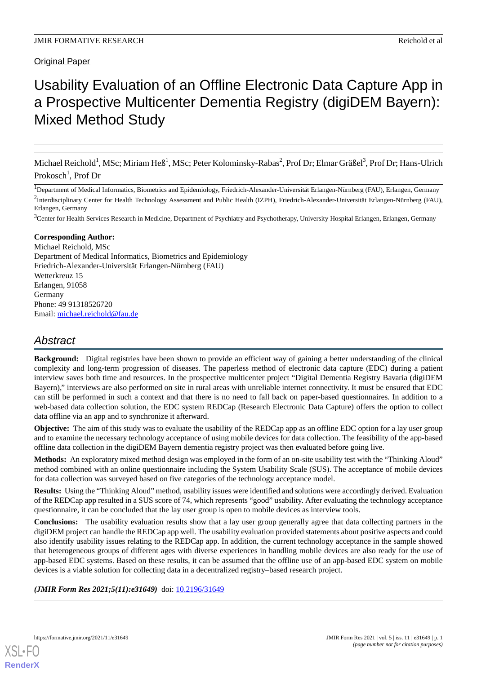# **Original Paper**

# Usability Evaluation of an Offline Electronic Data Capture App in a Prospective Multicenter Dementia Registry (digiDEM Bayern): Mixed Method Study

Michael Reichold<sup>1</sup>, MSc; Miriam Heß<sup>1</sup>, MSc; Peter Kolominsky-Rabas<sup>2</sup>, Prof Dr; Elmar Gräßel<sup>3</sup>, Prof Dr; Hans-Ulrich Prokosch<sup>1</sup>, Prof Dr

<sup>1</sup>Department of Medical Informatics, Biometrics and Epidemiology, Friedrich-Alexander-Universität Erlangen-Nürnberg (FAU), Erlangen, Germany <sup>2</sup>Interdisciplinary Center for Health Technology Assessment and Public Health (IZPH), Friedrich-Alexander-Universität Erlangen-Nürnberg (FAU), Erlangen, Germany

<sup>3</sup>Center for Health Services Research in Medicine, Department of Psychiatry and Psychotherapy, University Hospital Erlangen, Erlangen, Germany

# **Corresponding Author:**

Michael Reichold, MSc Department of Medical Informatics, Biometrics and Epidemiology Friedrich-Alexander-Universität Erlangen-Nürnberg (FAU) Wetterkreuz 15 Erlangen, 91058 Germany Phone: 49 91318526720 Email: [michael.reichold@fau.de](mailto:michael.reichold@fau.de)

# *Abstract*

**Background:** Digital registries have been shown to provide an efficient way of gaining a better understanding of the clinical complexity and long-term progression of diseases. The paperless method of electronic data capture (EDC) during a patient interview saves both time and resources. In the prospective multicenter project "Digital Dementia Registry Bavaria (digiDEM Bayern)," interviews are also performed on site in rural areas with unreliable internet connectivity. It must be ensured that EDC can still be performed in such a context and that there is no need to fall back on paper-based questionnaires. In addition to a web-based data collection solution, the EDC system REDCap (Research Electronic Data Capture) offers the option to collect data offline via an app and to synchronize it afterward.

**Objective:** The aim of this study was to evaluate the usability of the REDCap app as an offline EDC option for a lay user group and to examine the necessary technology acceptance of using mobile devices for data collection. The feasibility of the app-based offline data collection in the digiDEM Bayern dementia registry project was then evaluated before going live.

**Methods:** An exploratory mixed method design was employed in the form of an on-site usability test with the "Thinking Aloud" method combined with an online questionnaire including the System Usability Scale (SUS). The acceptance of mobile devices for data collection was surveyed based on five categories of the technology acceptance model.

**Results:** Using the "Thinking Aloud" method, usability issues were identified and solutions were accordingly derived. Evaluation of the REDCap app resulted in a SUS score of 74, which represents "good" usability. After evaluating the technology acceptance questionnaire, it can be concluded that the lay user group is open to mobile devices as interview tools.

**Conclusions:** The usability evaluation results show that a lay user group generally agree that data collecting partners in the digiDEM project can handle the REDCap app well. The usability evaluation provided statements about positive aspects and could also identify usability issues relating to the REDCap app. In addition, the current technology acceptance in the sample showed that heterogeneous groups of different ages with diverse experiences in handling mobile devices are also ready for the use of app-based EDC systems. Based on these results, it can be assumed that the offline use of an app-based EDC system on mobile devices is a viable solution for collecting data in a decentralized registry–based research project.

(JMIR Form Res 2021;5(11):e31649) doi: [10.2196/31649](http://dx.doi.org/10.2196/31649)

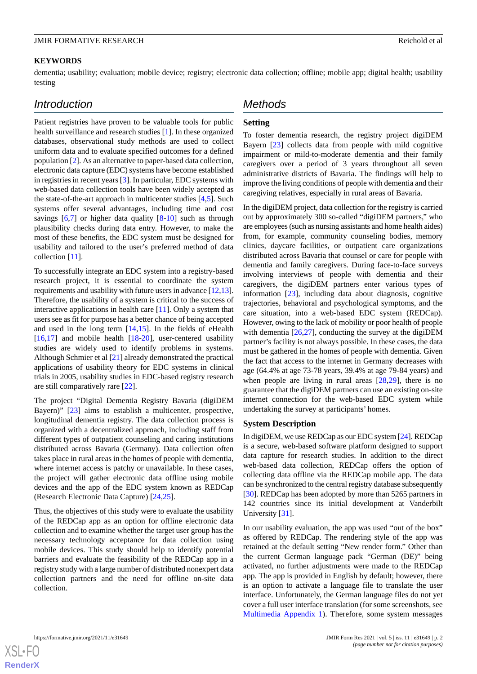### **KEYWORDS**

dementia; usability; evaluation; mobile device; registry; electronic data collection; offline; mobile app; digital health; usability testing

# *Introduction*

Patient registries have proven to be valuable tools for public health surveillance and research studies [[1\]](#page-12-0). In these organized databases, observational study methods are used to collect uniform data and to evaluate specified outcomes for a defined population [\[2\]](#page-12-1). As an alternative to paper-based data collection, electronic data capture (EDC) systems have become established in registries in recent years [\[3](#page-12-2)]. In particular, EDC systems with web-based data collection tools have been widely accepted as the state-of-the-art approach in multicenter studies [[4,](#page-12-3)[5](#page-12-4)]. Such systems offer several advantages, including time and cost savings  $[6,7]$  $[6,7]$  $[6,7]$  $[6,7]$  or higher data quality  $[8-10]$  $[8-10]$  $[8-10]$  such as through plausibility checks during data entry. However, to make the most of these benefits, the EDC system must be designed for usability and tailored to the user's preferred method of data collection [[11\]](#page-12-9).

To successfully integrate an EDC system into a registry-based research project, it is essential to coordinate the system requirements and usability with future users in advance [[12,](#page-12-10)[13\]](#page-12-11). Therefore, the usability of a system is critical to the success of interactive applications in health care [\[11](#page-12-9)]. Only a system that users see as fit for purpose has a better chance of being accepted and used in the long term  $[14,15]$  $[14,15]$  $[14,15]$ . In the fields of eHealth  $[16,17]$  $[16,17]$  $[16,17]$  $[16,17]$  and mobile health  $[18-20]$  $[18-20]$  $[18-20]$ , user-centered usability studies are widely used to identify problems in systems. Although Schmier et al [[21\]](#page-12-18) already demonstrated the practical applications of usability theory for EDC systems in clinical trials in 2005, usability studies in EDC-based registry research are still comparatively rare [\[22](#page-12-19)].

The project "Digital Dementia Registry Bavaria (digiDEM Bayern)" [\[23](#page-13-0)] aims to establish a multicenter, prospective, longitudinal dementia registry. The data collection process is organized with a decentralized approach, including staff from different types of outpatient counseling and caring institutions distributed across Bavaria (Germany). Data collection often takes place in rural areas in the homes of people with dementia, where internet access is patchy or unavailable. In these cases, the project will gather electronic data offline using mobile devices and the app of the EDC system known as REDCap (Research Electronic Data Capture) [[24](#page-13-1)[,25](#page-13-2)].

Thus, the objectives of this study were to evaluate the usability of the REDCap app as an option for offline electronic data collection and to examine whether the target user group has the necessary technology acceptance for data collection using mobile devices. This study should help to identify potential barriers and evaluate the feasibility of the REDCap app in a registry study with a large number of distributed nonexpert data collection partners and the need for offline on-site data collection.

# *Methods*

# **Setting**

To foster dementia research, the registry project digiDEM Bayern [\[23](#page-13-0)] collects data from people with mild cognitive impairment or mild-to-moderate dementia and their family caregivers over a period of 3 years throughout all seven administrative districts of Bavaria. The findings will help to improve the living conditions of people with dementia and their caregiving relatives, especially in rural areas of Bavaria.

In the digiDEM project, data collection for the registry is carried out by approximately 300 so-called "digiDEM partners," who are employees (such as nursing assistants and home health aides) from, for example, community counseling bodies, memory clinics, daycare facilities, or outpatient care organizations distributed across Bavaria that counsel or care for people with dementia and family caregivers. During face-to-face surveys involving interviews of people with dementia and their caregivers, the digiDEM partners enter various types of information [\[23](#page-13-0)], including data about diagnosis, cognitive trajectories, behavioral and psychological symptoms, and the care situation, into a web-based EDC system (REDCap). However, owing to the lack of mobility or poor health of people with dementia [\[26](#page-13-3),[27\]](#page-13-4), conducting the survey at the digiDEM partner's facility is not always possible. In these cases, the data must be gathered in the homes of people with dementia. Given the fact that access to the internet in Germany decreases with age (64.4% at age 73-78 years, 39.4% at age 79-84 years) and when people are living in rural areas [[28](#page-13-5)[,29](#page-13-6)], there is no guarantee that the digiDEM partners can use an existing on-site internet connection for the web-based EDC system while undertaking the survey at participants' homes.

#### **System Description**

In digiDEM, we use REDCap as our EDC system [[24\]](#page-13-1). REDCap is a secure, web-based software platform designed to support data capture for research studies. In addition to the direct web-based data collection, REDCap offers the option of collecting data offline via the REDCap mobile app. The data can be synchronized to the central registry database subsequently [[30\]](#page-13-7). REDCap has been adopted by more than 5265 partners in 142 countries since its initial development at Vanderbilt University [\[31](#page-13-8)].

In our usability evaluation, the app was used "out of the box" as offered by REDCap. The rendering style of the app was retained at the default setting "New render form." Other than the current German language pack "German (DE)" being activated, no further adjustments were made to the REDCap app. The app is provided in English by default; however, there is an option to activate a language file to translate the user interface. Unfortunately, the German language files do not yet cover a full user interface translation (for some screenshots, see [Multimedia Appendix 1\)](#page-11-0). Therefore, some system messages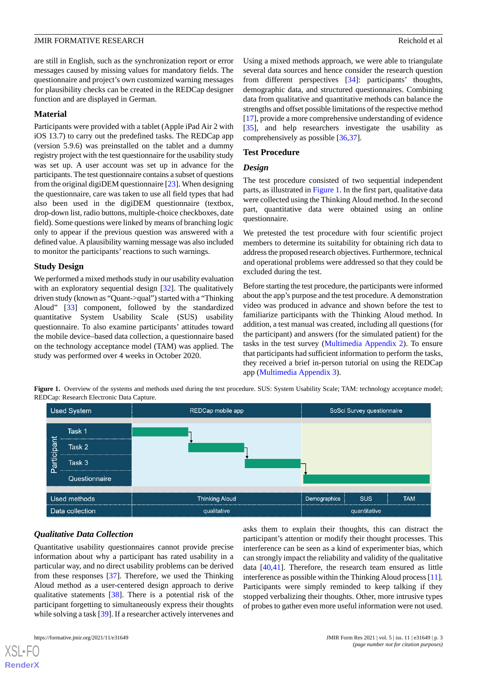are still in English, such as the synchronization report or error messages caused by missing values for mandatory fields. The questionnaire and project's own customized warning messages for plausibility checks can be created in the REDCap designer function and are displayed in German.

#### **Material**

Participants were provided with a tablet (Apple iPad Air 2 with iOS 13.7) to carry out the predefined tasks. The REDCap app (version 5.9.6) was preinstalled on the tablet and a dummy registry project with the test questionnaire for the usability study was set up. A user account was set up in advance for the participants. The test questionnaire contains a subset of questions from the original digiDEM questionnaire [\[23](#page-13-0)]. When designing the questionnaire, care was taken to use all field types that had also been used in the digiDEM questionnaire (textbox, drop-down list, radio buttons, multiple-choice checkboxes, date field). Some questions were linked by means of branching logic only to appear if the previous question was answered with a defined value. A plausibility warning message was also included to monitor the participants' reactions to such warnings.

# **Study Design**

We performed a mixed methods study in our usability evaluation with an exploratory sequential design [[32\]](#page-13-9). The qualitatively driven study (known as "Quant->qual") started with a "Thinking Aloud" [\[33](#page-13-10)] component, followed by the standardized quantitative System Usability Scale (SUS) usability questionnaire. To also examine participants' attitudes toward the mobile device–based data collection, a questionnaire based on the technology acceptance model (TAM) was applied. The study was performed over 4 weeks in October 2020.

Using a mixed methods approach, we were able to triangulate several data sources and hence consider the research question from different perspectives [\[34](#page-13-11)]: participants' thoughts, demographic data, and structured questionnaires. Combining data from qualitative and quantitative methods can balance the strengths and offset possible limitations of the respective method [[17\]](#page-12-15), provide a more comprehensive understanding of evidence [[35\]](#page-13-12), and help researchers investigate the usability as comprehensively as possible [[36,](#page-13-13)[37\]](#page-13-14)*.*

# **Test Procedure**

#### *Design*

The test procedure consisted of two sequential independent parts, as illustrated in [Figure 1.](#page-2-0) In the first part, qualitative data were collected using the Thinking Aloud method. In the second part, quantitative data were obtained using an online questionnaire.

We pretested the test procedure with four scientific project members to determine its suitability for obtaining rich data to address the proposed research objectives. Furthermore, technical and operational problems were addressed so that they could be excluded during the test.

Before starting the test procedure, the participants were informed about the app's purpose and the test procedure. A demonstration video was produced in advance and shown before the test to familiarize participants with the Thinking Aloud method. In addition, a test manual was created, including all questions (for the participant) and answers (for the simulated patient) for the tasks in the test survey [\(Multimedia Appendix 2](#page-11-1)). To ensure that participants had sufficient information to perform the tasks, they received a brief in-person tutorial on using the REDCap app ([Multimedia Appendix 3](#page-11-2)).

<span id="page-2-0"></span>Figure 1. Overview of the systems and methods used during the test procedure. SUS: System Usability Scale; TAM: technology acceptance model; REDCap: Research Electronic Data Capture.



# *Qualitative Data Collection*

Quantitative usability questionnaires cannot provide precise information about why a participant has rated usability in a particular way, and no direct usability problems can be derived from these responses [\[37](#page-13-14)]. Therefore, we used the Thinking Aloud method as a user-centered design approach to derive qualitative statements [[38\]](#page-13-15). There is a potential risk of the participant forgetting to simultaneously express their thoughts while solving a task [[39\]](#page-13-16). If a researcher actively intervenes and

asks them to explain their thoughts, this can distract the participant's attention or modify their thought processes. This interference can be seen as a kind of experimenter bias, which can strongly impact the reliability and validity of the qualitative data [\[40](#page-13-17),[41\]](#page-13-18). Therefore, the research team ensured as little interference as possible within the Thinking Aloud process [\[11](#page-12-9)]. Participants were simply reminded to keep talking if they stopped verbalizing their thoughts. Other, more intrusive types of probes to gather even more useful information were not used.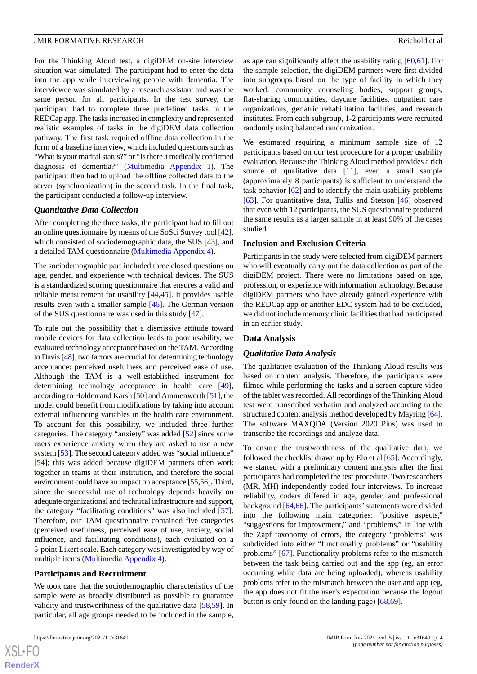For the Thinking Aloud test, a digiDEM on-site interview situation was simulated. The participant had to enter the data into the app while interviewing people with dementia. The interviewee was simulated by a research assistant and was the same person for all participants. In the test survey, the participant had to complete three predefined tasks in the REDCap app. The tasks increased in complexity and represented realistic examples of tasks in the digiDEM data collection pathway. The first task required offline data collection in the form of a baseline interview, which included questions such as "What is your marital status?" or "Is there a medically confirmed diagnosis of dementia?" [\(Multimedia Appendix 1](#page-11-0)). The participant then had to upload the offline collected data to the server (synchronization) in the second task. In the final task, the participant conducted a follow-up interview.

#### *Quantitative Data Collection*

After completing the three tasks, the participant had to fill out an online questionnaire by means of the SoSci Survey tool [[42\]](#page-13-19), which consisted of sociodemographic data, the SUS [[43\]](#page-13-20), and a detailed TAM questionnaire [\(Multimedia Appendix 4](#page-11-3)).

The sociodemographic part included three closed questions on age, gender, and experience with technical devices. The SUS is a standardized scoring questionnaire that ensures a valid and reliable measurement for usability [[44](#page-13-21)[,45](#page-13-22)]. It provides usable results even with a smaller sample [\[46](#page-13-23)]. The German version of the SUS questionnaire was used in this study [[47\]](#page-13-24).

To rule out the possibility that a dismissive attitude toward mobile devices for data collection leads to poor usability, we evaluated technology acceptance based on the TAM. According to Davis [\[48\]](#page-13-25), two factors are crucial for determining technology acceptance: perceived usefulness and perceived ease of use. Although the TAM is a well-established instrument for determining technology acceptance in health care [[49\]](#page-13-26), according to Holden and Karsh [\[50](#page-14-0)] and Ammenwerth [[51\]](#page-14-1), the model could benefit from modifications by taking into account external influencing variables in the health care environment. To account for this possibility, we included three further categories. The category "anxiety" was added [[52\]](#page-14-2) since some users experience anxiety when they are asked to use a new system [[53\]](#page-14-3). The second category added was "social influence" [[54\]](#page-14-4); this was added because digiDEM partners often work together in teams at their institution, and therefore the social environment could have an impact on acceptance [[55](#page-14-5),[56\]](#page-14-6). Third, since the successful use of technology depends heavily on adequate organizational and technical infrastructure and support, the category "facilitating conditions" was also included [[57\]](#page-14-7). Therefore, our TAM questionnaire contained five categories (perceived usefulness, perceived ease of use, anxiety, social influence, and facilitating conditions), each evaluated on a 5-point Likert scale. Each category was investigated by way of multiple items ([Multimedia Appendix 4\)](#page-11-3).

#### **Participants and Recruitment**

We took care that the sociodemographic characteristics of the sample were as broadly distributed as possible to guarantee validity and trustworthiness of the qualitative data [[58](#page-14-8)[,59](#page-14-9)]. In particular, all age groups needed to be included in the sample,

as age can significantly affect the usability rating [[60](#page-14-10)[,61](#page-14-11)]. For the sample selection, the digiDEM partners were first divided into subgroups based on the type of facility in which they worked: community counseling bodies, support groups, flat-sharing communities, daycare facilities, outpatient care organizations, geriatric rehabilitation facilities, and research institutes. From each subgroup, 1-2 participants were recruited randomly using balanced randomization.

We estimated requiring a minimum sample size of 12 participants based on our test procedure for a proper usability evaluation. Because the Thinking Aloud method provides a rich source of qualitative data  $[11]$  $[11]$ , even a small sample (approximately 8 participants) is sufficient to understand the task behavior [\[62](#page-14-12)] and to identify the main usability problems [[63\]](#page-14-13). For quantitative data, Tullis and Stetson [[46\]](#page-13-23) observed that even with 12 participants, the SUS questionnaire produced the same results as a larger sample in at least 90% of the cases studied.

# **Inclusion and Exclusion Criteria**

Participants in the study were selected from digiDEM partners who will eventually carry out the data collection as part of the digiDEM project. There were no limitations based on age, profession, or experience with information technology. Because digiDEM partners who have already gained experience with the REDCap app or another EDC system had to be excluded, we did not include memory clinic facilities that had participated in an earlier study.

#### **Data Analysis**

#### *Qualitative Data Analysis*

The qualitative evaluation of the Thinking Aloud results was based on content analysis. Therefore, the participants were filmed while performing the tasks and a screen capture video of the tablet was recorded. All recordings of the Thinking Aloud test were transcribed verbatim and analyzed according to the structured content analysis method developed by Mayring [[64\]](#page-14-14). The software MAXQDA (Version 2020 Plus) was used to transcribe the recordings and analyze data.

To ensure the trustworthiness of the qualitative data, we followed the checklist drawn up by Elo et al [[65\]](#page-14-15). Accordingly, we started with a preliminary content analysis after the first participants had completed the test procedure. Two researchers (MR, MH) independently coded four interviews. To increase reliability, coders differed in age, gender, and professional background [\[64](#page-14-14)[,66](#page-14-16)]. The participants' statements were divided into the following main categories: "positive aspects," "suggestions for improvement," and "problems." In line with the Zapf taxonomy of errors, the category "problems" was subdivided into either "functionality problems" or "usability problems" [[67\]](#page-14-17). Functionality problems refer to the mismatch between the task being carried out and the app (eg, an error occurring while data are being uploaded), whereas usability problems refer to the mismatch between the user and app (eg, the app does not fit the user's expectation because the logout button is only found on the landing page) [\[68](#page-14-18)[,69](#page-14-19)].

 $XS$ -FO **[RenderX](http://www.renderx.com/)**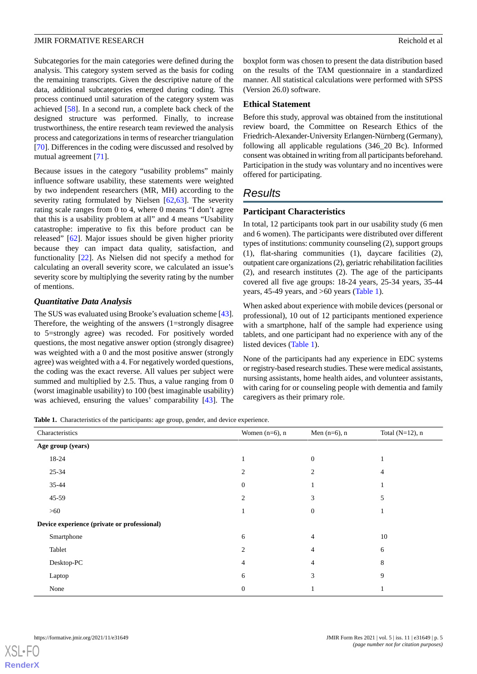Subcategories for the main categories were defined during the analysis. This category system served as the basis for coding the remaining transcripts. Given the descriptive nature of the data, additional subcategories emerged during coding. This process continued until saturation of the category system was achieved [\[58](#page-14-8)]. In a second run, a complete back check of the designed structure was performed. Finally, to increase trustworthiness, the entire research team reviewed the analysis process and categorizations in terms of researcher triangulation [[70\]](#page-14-20). Differences in the coding were discussed and resolved by mutual agreement [\[71](#page-14-21)].

Because issues in the category "usability problems" mainly influence software usability, these statements were weighted by two independent researchers (MR, MH) according to the severity rating formulated by Nielsen [[62,](#page-14-12)[63\]](#page-14-13). The severity rating scale ranges from 0 to 4, where 0 means "I don't agree that this is a usability problem at all" and 4 means "Usability catastrophe: imperative to fix this before product can be released" [[62\]](#page-14-12). Major issues should be given higher priority because they can impact data quality, satisfaction, and functionality [\[22](#page-12-19)]. As Nielsen did not specify a method for calculating an overall severity score, we calculated an issue's severity score by multiplying the severity rating by the number of mentions.

#### *Quantitative Data Analysis*

The SUS was evaluated using Brooke's evaluation scheme [[43\]](#page-13-20). Therefore, the weighting of the answers (1=strongly disagree to 5=strongly agree) was recoded. For positively worded questions, the most negative answer option (strongly disagree) was weighted with a 0 and the most positive answer (strongly agree) was weighted with a 4. For negatively worded questions, the coding was the exact reverse. All values per subject were summed and multiplied by 2.5. Thus, a value ranging from 0 (worst imaginable usability) to 100 (best imaginable usability) was achieved, ensuring the values' comparability [[43\]](#page-13-20). The boxplot form was chosen to present the data distribution based on the results of the TAM questionnaire in a standardized manner. All statistical calculations were performed with SPSS (Version 26.0) software.

#### **Ethical Statement**

Before this study, approval was obtained from the institutional review board, the Committee on Research Ethics of the Friedrich-Alexander-University Erlangen-Nürnberg (Germany), following all applicable regulations (346\_20 Bc). Informed consent was obtained in writing from all participants beforehand. Participation in the study was voluntary and no incentives were offered for participating.

# *Results*

#### **Participant Characteristics**

In total, 12 participants took part in our usability study (6 men and 6 women). The participants were distributed over different types of institutions: community counseling (2), support groups (1), flat-sharing communities (1), daycare facilities (2), outpatient care organizations (2), geriatric rehabilitation facilities (2), and research institutes (2). The age of the participants covered all five age groups: 18-24 years, 25-34 years, 35-44 years, 45-49 years, and >60 years ([Table 1](#page-4-0)).

When asked about experience with mobile devices (personal or professional), 10 out of 12 participants mentioned experience with a smartphone, half of the sample had experience using tablets, and one participant had no experience with any of the listed devices [\(Table 1\)](#page-4-0).

None of the participants had any experience in EDC systems or registry-based research studies. These were medical assistants, nursing assistants, home health aides, and volunteer assistants, with caring for or counseling people with dementia and family caregivers as their primary role.

<span id="page-4-0"></span>**Table 1.** Characteristics of the participants: age group, gender, and device experience.

| $\mathbf{r}$<br>. .<br>$\sim$ $\sim$ $\sim$<br>$\sim$<br>$\mathbf{r}$ |                   |                 |                    |  |  |  |  |  |  |  |
|-----------------------------------------------------------------------|-------------------|-----------------|--------------------|--|--|--|--|--|--|--|
| Characteristics                                                       | Women $(n=6)$ , n | Men $(n=6)$ , n | Total $(N=12)$ , n |  |  |  |  |  |  |  |
| Age group (years)                                                     |                   |                 |                    |  |  |  |  |  |  |  |
| 18-24                                                                 |                   | $\theta$        |                    |  |  |  |  |  |  |  |
| $25 - 34$                                                             | $\overline{c}$    | $\overline{c}$  | 4                  |  |  |  |  |  |  |  |
| 35-44                                                                 | $\mathbf{0}$      |                 |                    |  |  |  |  |  |  |  |
| 45-59                                                                 | $\overline{c}$    | 3               | 5                  |  |  |  |  |  |  |  |
| >60                                                                   |                   | $\Omega$        |                    |  |  |  |  |  |  |  |
| Device experience (private or professional)                           |                   |                 |                    |  |  |  |  |  |  |  |
| Smartphone                                                            | 6                 | 4               | 10                 |  |  |  |  |  |  |  |
| Tablet                                                                | $\overline{2}$    | 4               | 6                  |  |  |  |  |  |  |  |
| Desktop-PC                                                            | 4                 | 4               | 8                  |  |  |  |  |  |  |  |
| Laptop                                                                | 6                 | 3               | 9                  |  |  |  |  |  |  |  |
| None                                                                  | $\boldsymbol{0}$  |                 |                    |  |  |  |  |  |  |  |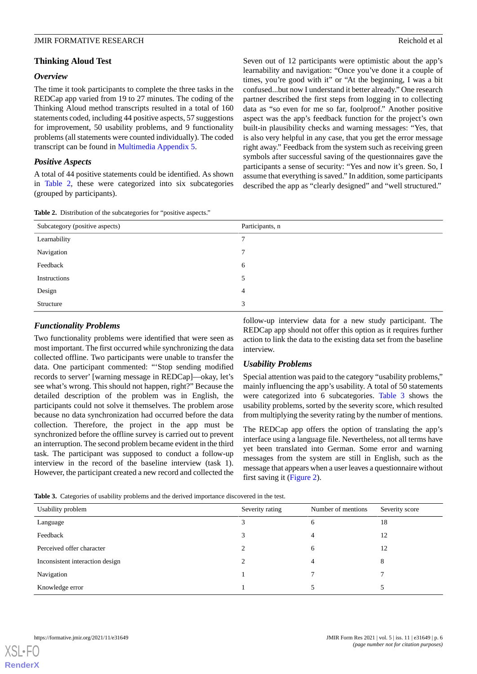### *Overview*

The time it took participants to complete the three tasks in the REDCap app varied from 19 to 27 minutes. The coding of the Thinking Aloud method transcripts resulted in a total of 160 statements coded, including 44 positive aspects, 57 suggestions for improvement, 50 usability problems, and 9 functionality problems (all statements were counted individually). The coded transcript can be found in [Multimedia Appendix 5](#page-12-20).

# *Positive Aspects*

<span id="page-5-0"></span>A total of 44 positive statements could be identified. As shown in [Table 2](#page-5-0), these were categorized into six subcategories (grouped by participants).

Seven out of 12 participants were optimistic about the app's learnability and navigation: "Once you've done it a couple of times, you're good with it" or "At the beginning, I was a bit confused...but now I understand it better already." One research partner described the first steps from logging in to collecting data as "so even for me so far, foolproof." Another positive aspect was the app's feedback function for the project's own built-in plausibility checks and warning messages: "Yes, that is also very helpful in any case, that you get the error message right away." Feedback from the system such as receiving green symbols after successful saving of the questionnaires gave the participants a sense of security: "Yes and now it's green. So, I assume that everything is saved." In addition, some participants described the app as "clearly designed" and "well structured."

| Subcategory (positive aspects) | Participants, n |  |  |  |  |  |  |
|--------------------------------|-----------------|--|--|--|--|--|--|
| Learnability                   |                 |  |  |  |  |  |  |
| Navigation                     | 7               |  |  |  |  |  |  |
| Feedback                       | 6               |  |  |  |  |  |  |
| Instructions                   | 5               |  |  |  |  |  |  |
| Design                         | $\overline{4}$  |  |  |  |  |  |  |
| Structure                      | 3               |  |  |  |  |  |  |

#### **Table 2.** Distribution of the subcategories for "positive aspects."

# *Functionality Problems*

Two functionality problems were identified that were seen as most important. The first occurred while synchronizing the data collected offline. Two participants were unable to transfer the data. One participant commented: "'Stop sending modified records to server' [warning message in REDCap]—okay, let's see what's wrong. This should not happen, right?" Because the detailed description of the problem was in English, the participants could not solve it themselves. The problem arose because no data synchronization had occurred before the data collection. Therefore, the project in the app must be synchronized before the offline survey is carried out to prevent an interruption. The second problem became evident in the third task. The participant was supposed to conduct a follow-up interview in the record of the baseline interview (task 1). However, the participant created a new record and collected the follow-up interview data for a new study participant. The REDCap app should not offer this option as it requires further action to link the data to the existing data set from the baseline interview.

#### *Usability Problems*

Special attention was paid to the category "usability problems," mainly influencing the app's usability. A total of 50 statements were categorized into 6 subcategories. [Table 3](#page-5-1) shows the usability problems, sorted by the severity score, which resulted from multiplying the severity rating by the number of mentions.

The REDCap app offers the option of translating the app's interface using a language file. Nevertheless, not all terms have yet been translated into German. Some error and warning messages from the system are still in English, such as the message that appears when a user leaves a questionnaire without first saving it ([Figure 2\)](#page-6-0).

<span id="page-5-1"></span>**Table 3.** Categories of usability problems and the derived importance discovered in the test.

| Usability problem               | Severity rating | Number of mentions | Severity score |
|---------------------------------|-----------------|--------------------|----------------|
| Language                        |                 | 6                  | 18             |
| Feedback                        |                 | 4                  | 12             |
| Perceived offer character       |                 | <sub>6</sub>       | 12             |
| Inconsistent interaction design |                 | 4                  | 8              |
| Navigation                      |                 |                    |                |
| Knowledge error                 |                 |                    |                |

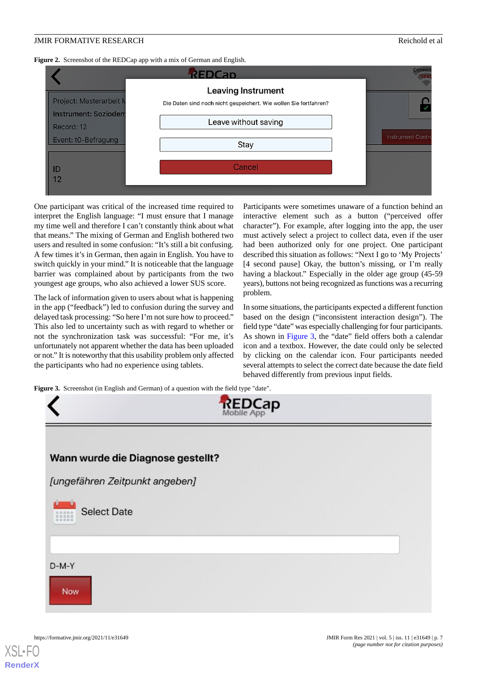<span id="page-6-0"></span>**Figure 2.** Screenshot of the REDCap app with a mix of German and English.



One participant was critical of the increased time required to interpret the English language: "I must ensure that I manage my time well and therefore I can't constantly think about what that means." The mixing of German and English bothered two users and resulted in some confusion: "It's still a bit confusing. A few times it's in German, then again in English. You have to switch quickly in your mind." It is noticeable that the language barrier was complained about by participants from the two youngest age groups, who also achieved a lower SUS score.

The lack of information given to users about what is happening in the app ("feedback") led to confusion during the survey and delayed task processing: "So here I'm not sure how to proceed." This also led to uncertainty such as with regard to whether or not the synchronization task was successful: "For me, it's unfortunately not apparent whether the data has been uploaded or not." It is noteworthy that this usability problem only affected the participants who had no experience using tablets.

Participants were sometimes unaware of a function behind an interactive element such as a button ("perceived offer character"). For example, after logging into the app, the user must actively select a project to collect data, even if the user had been authorized only for one project. One participant described this situation as follows: "Next I go to 'My Projects' [4 second pause] Okay, the button's missing, or I'm really having a blackout." Especially in the older age group  $(45-59)$ years), buttons not being recognized as functions was a recurring problem.

In some situations, the participants expected a different function based on the design ("inconsistent interaction design"). The field type "date" was especially challenging for four participants. As shown in [Figure 3](#page-6-1), the "date" field offers both a calendar icon and a textbox. However, the date could only be selected by clicking on the calendar icon. Four participants needed several attempts to select the correct date because the date field behaved differently from previous input fields.

<span id="page-6-1"></span>Figure 3. Screenshot (in English and German) of a question with the field type "date".

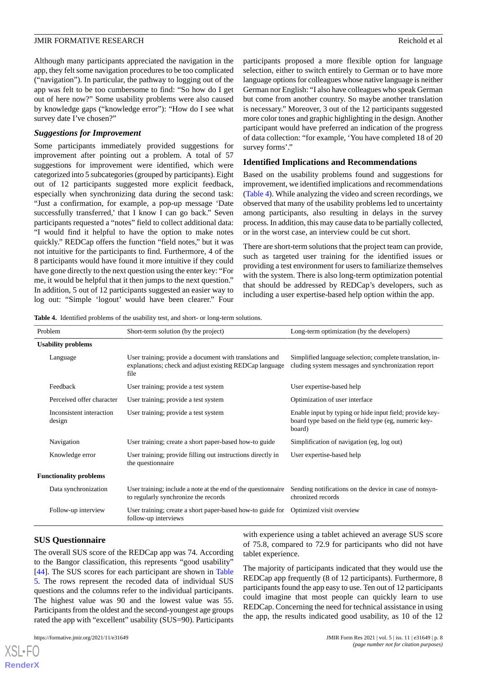Although many participants appreciated the navigation in the app, they felt some navigation procedures to be too complicated ("navigation"). In particular, the pathway to logging out of the app was felt to be too cumbersome to find: "So how do I get out of here now?" Some usability problems were also caused by knowledge gaps ("knowledge error"): "How do I see what survey date I've chosen?"

#### *Suggestions for Improvement*

Some participants immediately provided suggestions for improvement after pointing out a problem. A total of 57 suggestions for improvement were identified, which were categorized into 5 subcategories (grouped by participants). Eight out of 12 participants suggested more explicit feedback, especially when synchronizing data during the second task: "Just a confirmation, for example, a pop-up message 'Date successfully transferred,' that I know I can go back." Seven participants requested a "notes" field to collect additional data: "I would find it helpful to have the option to make notes quickly." REDCap offers the function "field notes," but it was not intuitive for the participants to find. Furthermore, 4 of the 8 participants would have found it more intuitive if they could have gone directly to the next question using the enter key: "For me, it would be helpful that it then jumps to the next question." In addition, 5 out of 12 participants suggested an easier way to log out: "Simple 'logout' would have been clearer." Four

participants proposed a more flexible option for language selection, either to switch entirely to German or to have more language options for colleagues whose native language is neither German nor English: "I also have colleagues who speak German but come from another country. So maybe another translation is necessary." Moreover, 3 out of the 12 participants suggested more color tones and graphic highlighting in the design. Another participant would have preferred an indication of the progress of data collection: "for example, 'You have completed 18 of 20 survey forms'."

#### **Identified Implications and Recommendations**

Based on the usability problems found and suggestions for improvement, we identified implications and recommendations ([Table 4](#page-7-0)). While analyzing the video and screen recordings, we observed that many of the usability problems led to uncertainty among participants, also resulting in delays in the survey process. In addition, this may cause data to be partially collected, or in the worst case, an interview could be cut short.

There are short-term solutions that the project team can provide, such as targeted user training for the identified issues or providing a test environment for users to familiarize themselves with the system. There is also long-term optimization potential that should be addressed by REDCap's developers, such as including a user expertise-based help option within the app.

<span id="page-7-0"></span>**Table 4.** Identified problems of the usability test, and short- or long-term solutions.

| Problem                   |                                    | Short-term solution (by the project)                                                                                       | Long-term optimization (by the developers)                                                                                 |  |  |  |  |
|---------------------------|------------------------------------|----------------------------------------------------------------------------------------------------------------------------|----------------------------------------------------------------------------------------------------------------------------|--|--|--|--|
| <b>Usability problems</b> |                                    |                                                                                                                            |                                                                                                                            |  |  |  |  |
|                           | Language                           | User training; provide a document with translations and<br>explanations; check and adjust existing REDCap language<br>file | Simplified language selection; complete translation, in-<br>cluding system messages and synchronization report             |  |  |  |  |
|                           | Feedback                           | User training; provide a test system                                                                                       | User expertise-based help                                                                                                  |  |  |  |  |
|                           | Perceived offer character          | User training; provide a test system                                                                                       | Optimization of user interface                                                                                             |  |  |  |  |
|                           | Inconsistent interaction<br>design | User training; provide a test system                                                                                       | Enable input by typing or hide input field; provide key-<br>board type based on the field type (eg, numeric key-<br>board) |  |  |  |  |
|                           | Navigation                         | User training; create a short paper-based how-to guide                                                                     | Simplification of navigation (eg, log out)                                                                                 |  |  |  |  |
|                           | Knowledge error                    | User training; provide filling out instructions directly in<br>the questionnaire                                           | User expertise-based help                                                                                                  |  |  |  |  |
|                           | <b>Functionality problems</b>      |                                                                                                                            |                                                                                                                            |  |  |  |  |
|                           | Data synchronization               | User training; include a note at the end of the questionnaire<br>to regularly synchronize the records                      | Sending notifications on the device in case of nonsyn-<br>chronized records                                                |  |  |  |  |
|                           | Follow-up interview                | User training; create a short paper-based how-to guide for<br>follow-up interviews                                         | Optimized visit overview                                                                                                   |  |  |  |  |

#### **SUS Questionnaire**

The overall SUS score of the REDCap app was 74. According to the Bangor classification, this represents "good usability" [[44\]](#page-13-21). The SUS scores for each participant are shown in [Table](#page-8-0) [5.](#page-8-0) The rows represent the recoded data of individual SUS questions and the columns refer to the individual participants. The highest value was 90 and the lowest value was 55. Participants from the oldest and the second-youngest age groups rated the app with "excellent" usability (SUS=90). Participants with experience using a tablet achieved an average SUS score of 75.8, compared to 72.9 for participants who did not have tablet experience.

The majority of participants indicated that they would use the REDCap app frequently (8 of 12 participants). Furthermore, 8 participants found the app easy to use. Ten out of 12 participants could imagine that most people can quickly learn to use REDCap. Concerning the need for technical assistance in using the app, the results indicated good usability, as 10 of the 12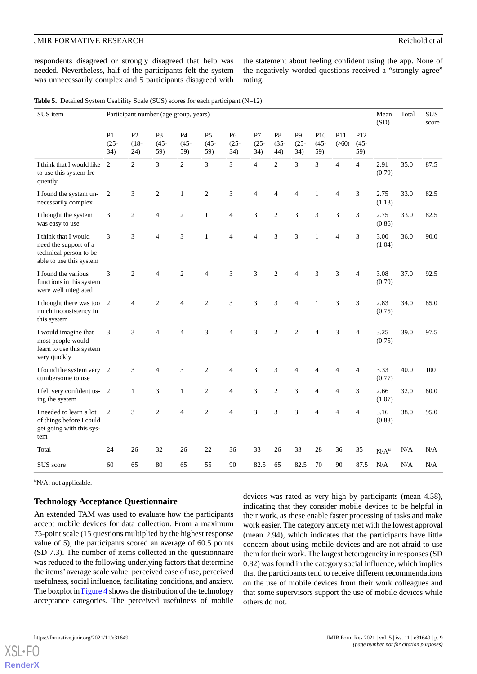respondents disagreed or strongly disagreed that help was needed. Nevertheless, half of the participants felt the system was unnecessarily complex and 5 participants disagreed with

the statement about feeling confident using the app. None of the negatively worded questions received a "strongly agree" rating.

<span id="page-8-0"></span>

|  | <b>Table 5.</b> Detailed System Usability Scale (SUS) scores for each participant $(N=12)$ . |  |  |  |  |  |  |  |
|--|----------------------------------------------------------------------------------------------|--|--|--|--|--|--|--|
|--|----------------------------------------------------------------------------------------------|--|--|--|--|--|--|--|

| SUS item                                                                                           | Participant number (age group, years) |                                  |                                  |                      |                                  |                                  |                      |                                  |                                  |                       | Mean<br>(SD)   | Total                             | <b>SUS</b><br>score |      |      |
|----------------------------------------------------------------------------------------------------|---------------------------------------|----------------------------------|----------------------------------|----------------------|----------------------------------|----------------------------------|----------------------|----------------------------------|----------------------------------|-----------------------|----------------|-----------------------------------|---------------------|------|------|
|                                                                                                    | P <sub>1</sub><br>$(25 -$<br>34)      | P <sub>2</sub><br>$(18 -$<br>24) | P <sub>3</sub><br>$(45 -$<br>59) | P4<br>$(45 -$<br>59) | P <sub>5</sub><br>$(45 -$<br>59) | P <sub>6</sub><br>$(25 -$<br>34) | P7<br>$(25 -$<br>34) | P <sub>8</sub><br>$(35 -$<br>44) | P <sub>9</sub><br>$(25 -$<br>34) | P10<br>$(45 -$<br>59) | P11<br>(>60)   | P <sub>12</sub><br>$(45 -$<br>59) |                     |      |      |
| I think that I would like<br>to use this system fre-<br>quently                                    | 2                                     | $\overline{2}$                   | 3                                | $\overline{2}$       | $\overline{3}$                   | $\overline{3}$                   | $\overline{4}$       | $\overline{2}$                   | $\overline{3}$                   | $\overline{3}$        | $\overline{4}$ | $\overline{4}$                    | 2.91<br>(0.79)      | 35.0 | 87.5 |
| I found the system un-<br>necessarily complex                                                      | $\overline{2}$                        | 3                                | $\mathfrak{2}$                   | $\mathbf{1}$         | $\overline{c}$                   | 3                                | $\overline{4}$       | $\overline{\mathcal{L}}$         | $\overline{4}$                   | $\mathbf{1}$          | 4              | 3                                 | 2.75<br>(1.13)      | 33.0 | 82.5 |
| I thought the system<br>was easy to use                                                            | 3                                     | $\overline{2}$                   | $\overline{4}$                   | $\overline{2}$       | $\mathbf{1}$                     | $\overline{4}$                   | 3                    | $\overline{c}$                   | 3                                | 3                     | 3              | 3                                 | 2.75<br>(0.86)      | 33.0 | 82.5 |
| I think that I would<br>need the support of a<br>technical person to be<br>able to use this system | 3                                     | 3                                | $\overline{4}$                   | 3                    | $\mathbf{1}$                     | $\overline{4}$                   | $\overline{4}$       | 3                                | 3                                | $\mathbf{1}$          | $\overline{4}$ | 3                                 | 3.00<br>(1.04)      | 36.0 | 90.0 |
| I found the various<br>functions in this system<br>were well integrated                            | 3                                     | $\overline{c}$                   | $\overline{4}$                   | $\overline{2}$       | $\overline{4}$                   | 3                                | 3                    | $\overline{c}$                   | $\overline{4}$                   | 3                     | 3              | 4                                 | 3.08<br>(0.79)      | 37.0 | 92.5 |
| I thought there was too<br>much inconsistency in<br>this system                                    | 2                                     | $\overline{4}$                   | $\overline{2}$                   | $\overline{4}$       | $\overline{2}$                   | 3                                | 3                    | 3                                | $\overline{4}$                   | $\mathbf{1}$          | 3              | 3                                 | 2.83<br>(0.75)      | 34.0 | 85.0 |
| I would imagine that<br>most people would<br>learn to use this system<br>very quickly              | 3                                     | 3                                | $\overline{4}$                   | $\overline{4}$       | 3                                | $\overline{4}$                   | 3                    | $\overline{2}$                   | $\overline{c}$                   | $\overline{4}$        | 3              | $\overline{4}$                    | 3.25<br>(0.75)      | 39.0 | 97.5 |
| I found the system very<br>cumbersome to use                                                       | $\overline{c}$                        | 3                                | $\overline{4}$                   | 3                    | $\mathfrak{2}$                   | 4                                | 3                    | 3                                | 4                                | 4                     | 4              | 4                                 | 3.33<br>(0.77)      | 40.0 | 100  |
| I felt very confident us-<br>ing the system                                                        | 2                                     | $\mathbf{1}$                     | 3                                | $\mathbf{1}$         | $\overline{2}$                   | $\overline{4}$                   | 3                    | $\overline{c}$                   | 3                                | 4                     | 4              | 3                                 | 2.66<br>(1.07)      | 32.0 | 80.0 |
| I needed to learn a lot<br>of things before I could<br>get going with this sys-<br>tem             | 2                                     | 3                                | $\overline{c}$                   | $\overline{4}$       | $\overline{2}$                   | $\overline{4}$                   | 3                    | 3                                | 3                                | $\overline{4}$        | 4              | $\overline{4}$                    | 3.16<br>(0.83)      | 38.0 | 95.0 |
| Total                                                                                              | 24                                    | 26                               | 32                               | 26                   | 22                               | 36                               | 33                   | 26                               | 33                               | 28                    | 36             | 35                                | N/A <sup>a</sup>    | N/A  | N/A  |
| SUS score                                                                                          | 60                                    | 65                               | 80                               | 65                   | 55                               | 90                               | 82.5                 | 65                               | 82.5                             | 70                    | 90             | 87.5                              | N/A                 | N/A  | N/A  |

 $\mathrm{a}_{N/A}$ : not applicable.

#### **Technology Acceptance Questionnaire**

An extended TAM was used to evaluate how the participants accept mobile devices for data collection. From a maximum 75-point scale (15 questions multiplied by the highest response value of 5), the participants scored an average of 60.5 points (SD 7.3). The number of items collected in the questionnaire was reduced to the following underlying factors that determine the items' average scale value: perceived ease of use, perceived usefulness, social influence, facilitating conditions, and anxiety. The boxplot in [Figure 4](#page-9-0) shows the distribution of the technology acceptance categories. The perceived usefulness of mobile

devices was rated as very high by participants (mean 4.58), indicating that they consider mobile devices to be helpful in their work, as these enable faster processing of tasks and make work easier. The category anxiety met with the lowest approval (mean 2.94), which indicates that the participants have little concern about using mobile devices and are not afraid to use them for their work. The largest heterogeneity in responses (SD 0.82) was found in the category social influence, which implies that the participants tend to receive different recommendations on the use of mobile devices from their work colleagues and that some supervisors support the use of mobile devices while others do not.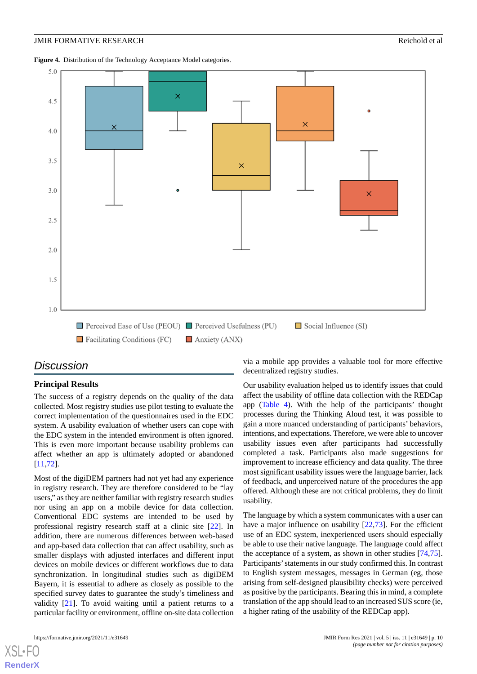<span id="page-9-0"></span>**Figure 4.** Distribution of the Technology Acceptance Model categories.



# *Discussion*

#### **Principal Results**

The success of a registry depends on the quality of the data collected. Most registry studies use pilot testing to evaluate the correct implementation of the questionnaires used in the EDC system. A usability evaluation of whether users can cope with the EDC system in the intended environment is often ignored. This is even more important because usability problems can affect whether an app is ultimately adopted or abandoned [[11](#page-12-9)[,72](#page-14-22)].

Most of the digiDEM partners had not yet had any experience in registry research. They are therefore considered to be "lay users," as they are neither familiar with registry research studies nor using an app on a mobile device for data collection. Conventional EDC systems are intended to be used by professional registry research staff at a clinic site [[22\]](#page-12-19). In addition, there are numerous differences between web-based and app-based data collection that can affect usability, such as smaller displays with adjusted interfaces and different input devices on mobile devices or different workflows due to data synchronization. In longitudinal studies such as digiDEM Bayern, it is essential to adhere as closely as possible to the specified survey dates to guarantee the study's timeliness and validity [[21\]](#page-12-18). To avoid waiting until a patient returns to a particular facility or environment, offline on-site data collection

via a mobile app provides a valuable tool for more effective decentralized registry studies.

Our usability evaluation helped us to identify issues that could affect the usability of offline data collection with the REDCap app ([Table 4](#page-7-0)). With the help of the participants' thought processes during the Thinking Aloud test, it was possible to gain a more nuanced understanding of participants' behaviors, intentions, and expectations. Therefore, we were able to uncover usability issues even after participants had successfully completed a task. Participants also made suggestions for improvement to increase efficiency and data quality. The three most significant usability issues were the language barrier, lack of feedback, and unperceived nature of the procedures the app offered. Although these are not critical problems, they do limit usability.

The language by which a system communicates with a user can have a major influence on usability  $[22,73]$  $[22,73]$  $[22,73]$ . For the efficient use of an EDC system, inexperienced users should especially be able to use their native language. The language could affect the acceptance of a system, as shown in other studies [\[74](#page-14-24),[75\]](#page-14-25). Participants' statements in our study confirmed this. In contrast to English system messages, messages in German (eg, those arising from self-designed plausibility checks) were perceived as positive by the participants. Bearing this in mind, a complete translation of the app should lead to an increased SUS score (ie, a higher rating of the usability of the REDCap app).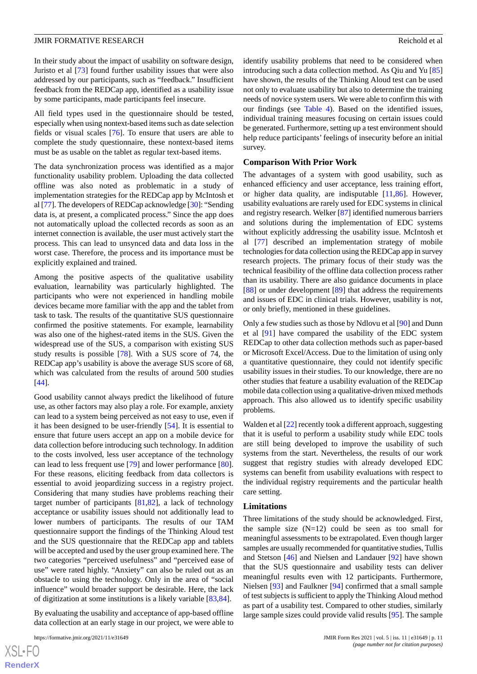In their study about the impact of usability on software design, Juristo et al [\[73](#page-14-23)] found further usability issues that were also addressed by our participants, such as "feedback." Insufficient feedback from the REDCap app, identified as a usability issue by some participants, made participants feel insecure.

All field types used in the questionnaire should be tested, especially when using nontext-based items such as date selection fields or visual scales [[76\]](#page-14-26). To ensure that users are able to complete the study questionnaire, these nontext-based items must be as usable on the tablet as regular text-based items.

The data synchronization process was identified as a major functionality usability problem. Uploading the data collected offline was also noted as problematic in a study of implementation strategies for the REDCap app by McIntosh et al [[77](#page-14-27)]. The developers of REDCap acknowledge [\[30](#page-13-7)]: "Sending data is, at present, a complicated process." Since the app does not automatically upload the collected records as soon as an internet connection is available, the user must actively start the process. This can lead to unsynced data and data loss in the worst case. Therefore, the process and its importance must be explicitly explained and trained.

Among the positive aspects of the qualitative usability evaluation, learnability was particularly highlighted. The participants who were not experienced in handling mobile devices became more familiar with the app and the tablet from task to task. The results of the quantitative SUS questionnaire confirmed the positive statements. For example, learnability was also one of the highest-rated items in the SUS. Given the widespread use of the SUS, a comparison with existing SUS study results is possible [[78\]](#page-14-28). With a SUS score of 74, the REDCap app's usability is above the average SUS score of 68, which was calculated from the results of around 500 studies [[44\]](#page-13-21).

Good usability cannot always predict the likelihood of future use, as other factors may also play a role. For example, anxiety can lead to a system being perceived as not easy to use, even if it has been designed to be user-friendly [[54\]](#page-14-4). It is essential to ensure that future users accept an app on a mobile device for data collection before introducing such technology. In addition to the costs involved, less user acceptance of the technology can lead to less frequent use [\[79](#page-14-29)] and lower performance [[80\]](#page-15-0). For these reasons, eliciting feedback from data collectors is essential to avoid jeopardizing success in a registry project. Considering that many studies have problems reaching their target number of participants [[81,](#page-15-1)[82](#page-15-2)], a lack of technology acceptance or usability issues should not additionally lead to lower numbers of participants. The results of our TAM questionnaire support the findings of the Thinking Aloud test and the SUS questionnaire that the REDCap app and tablets will be accepted and used by the user group examined here. The two categories "perceived usefulness" and "perceived ease of use" were rated highly. "Anxiety" can also be ruled out as an obstacle to using the technology. Only in the area of "social influence" would broader support be desirable. Here, the lack of digitization at some institutions is a likely variable [[83](#page-15-3)[,84](#page-15-4)].

By evaluating the usability and acceptance of app-based offline data collection at an early stage in our project, we were able to

identify usability problems that need to be considered when introducing such a data collection method. As Qiu and Yu [\[85](#page-15-5)] have shown, the results of the Thinking Aloud test can be used not only to evaluate usability but also to determine the training needs of novice system users. We were able to confirm this with our findings (see [Table 4\)](#page-7-0). Based on the identified issues, individual training measures focusing on certain issues could be generated. Furthermore, setting up a test environment should help reduce participants' feelings of insecurity before an initial survey.

#### **Comparison With Prior Work**

The advantages of a system with good usability, such as enhanced efficiency and user acceptance, less training effort, or higher data quality, are indisputable [[11](#page-12-9)[,86](#page-15-6)]. However, usability evaluations are rarely used for EDC systems in clinical and registry research. Welker [[87\]](#page-15-7) identified numerous barriers and solutions during the implementation of EDC systems without explicitly addressing the usability issue. McIntosh et al [[77\]](#page-14-27) described an implementation strategy of mobile technologies for data collection using the REDCap app in survey research projects. The primary focus of their study was the technical feasibility of the offline data collection process rather than its usability. There are also guidance documents in place [[88\]](#page-15-8) or under development [[89\]](#page-15-9) that address the requirements and issues of EDC in clinical trials. However, usability is not, or only briefly, mentioned in these guidelines.

Only a few studies such as those by Ndlovu et al [[90\]](#page-15-10) and Dunn et al [\[91](#page-15-11)] have compared the usability of the EDC system REDCap to other data collection methods such as paper-based or Microsoft Excel/Access. Due to the limitation of using only a quantitative questionnaire, they could not identify specific usability issues in their studies. To our knowledge, there are no other studies that feature a usability evaluation of the REDCap mobile data collection using a qualitative-driven mixed methods approach. This also allowed us to identify specific usability problems.

Walden et al [\[22](#page-12-19)] recently took a different approach, suggesting that it is useful to perform a usability study while EDC tools are still being developed to improve the usability of such systems from the start. Nevertheless, the results of our work suggest that registry studies with already developed EDC systems can benefit from usability evaluations with respect to the individual registry requirements and the particular health care setting.

#### **Limitations**

Three limitations of the study should be acknowledged. First, the sample size  $(N=12)$  could be seen as too small for meaningful assessments to be extrapolated. Even though larger samples are usually recommended for quantitative studies, Tullis and Stetson [[46\]](#page-13-23) and Nielsen and Landauer [\[92](#page-15-12)] have shown that the SUS questionnaire and usability tests can deliver meaningful results even with 12 participants. Furthermore, Nielsen [\[93](#page-15-13)] and Faulkner [\[94](#page-15-14)] confirmed that a small sample of test subjects is sufficient to apply the Thinking Aloud method as part of a usability test. Compared to other studies, similarly large sample sizes could provide valid results [[95\]](#page-15-15). The sample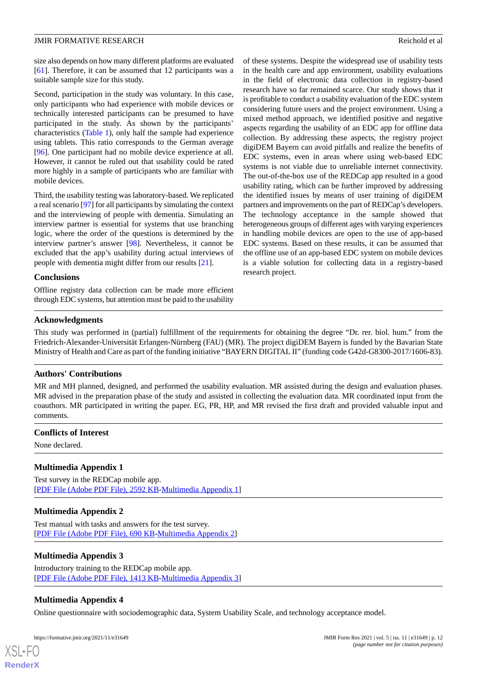size also depends on how many different platforms are evaluated [[61\]](#page-14-11). Therefore, it can be assumed that 12 participants was a suitable sample size for this study.

Second, participation in the study was voluntary. In this case, only participants who had experience with mobile devices or technically interested participants can be presumed to have participated in the study. As shown by the participants' characteristics [\(Table 1](#page-4-0)), only half the sample had experience using tablets. This ratio corresponds to the German average [[96\]](#page-15-16). One participant had no mobile device experience at all. However, it cannot be ruled out that usability could be rated more highly in a sample of participants who are familiar with mobile devices.

Third, the usability testing was laboratory-based. We replicated a real scenario [\[97\]](#page-15-17) for all participants by simulating the context and the interviewing of people with dementia. Simulating an interview partner is essential for systems that use branching logic, where the order of the questions is determined by the interview partner's answer [\[98](#page-15-18)]. Nevertheless, it cannot be excluded that the app's usability during actual interviews of people with dementia might differ from our results [\[21](#page-12-18)].

#### **Conclusions**

Offline registry data collection can be made more efficient through EDC systems, but attention must be paid to the usability

of these systems. Despite the widespread use of usability tests in the health care and app environment, usability evaluations in the field of electronic data collection in registry-based research have so far remained scarce. Our study shows that it is profitable to conduct a usability evaluation of the EDC system considering future users and the project environment. Using a mixed method approach, we identified positive and negative aspects regarding the usability of an EDC app for offline data collection. By addressing these aspects, the registry project digiDEM Bayern can avoid pitfalls and realize the benefits of EDC systems, even in areas where using web-based EDC systems is not viable due to unreliable internet connectivity. The out-of-the-box use of the REDCap app resulted in a good usability rating, which can be further improved by addressing the identified issues by means of user training of digiDEM partners and improvements on the part of REDCap's developers. The technology acceptance in the sample showed that heterogeneous groups of different ages with varying experiences in handling mobile devices are open to the use of app-based EDC systems. Based on these results, it can be assumed that the offline use of an app-based EDC system on mobile devices is a viable solution for collecting data in a registry-based research project.

#### **Acknowledgments**

This study was performed in (partial) fulfillment of the requirements for obtaining the degree "Dr. rer. biol. hum." from the Friedrich-Alexander-Universität Erlangen-Nürnberg (FAU) (MR). The project digiDEM Bayern is funded by the Bavarian State Ministry of Health and Care as part of the funding initiative "BAYERN DIGITAL II" (funding code G42d-G8300-2017/1606-83).

#### **Authors' Contributions**

MR and MH planned, designed, and performed the usability evaluation. MR assisted during the design and evaluation phases. MR advised in the preparation phase of the study and assisted in collecting the evaluation data. MR coordinated input from the coauthors. MR participated in writing the paper. EG, PR, HP, and MR revised the first draft and provided valuable input and comments.

#### <span id="page-11-0"></span>**Conflicts of Interest**

None declared.

#### <span id="page-11-1"></span>**Multimedia Appendix 1**

Test survey in the REDCap mobile app. [[PDF File \(Adobe PDF File\), 2592 KB](https://jmir.org/api/download?alt_name=formative_v5i11e31649_app1.pdf&filename=d65c1de6bcaec6bb7d31a34f51c1e53c.pdf)-[Multimedia Appendix 1\]](https://jmir.org/api/download?alt_name=formative_v5i11e31649_app1.pdf&filename=d65c1de6bcaec6bb7d31a34f51c1e53c.pdf)

#### <span id="page-11-2"></span>**Multimedia Appendix 2**

<span id="page-11-3"></span>Test manual with tasks and answers for the test survey. [[PDF File \(Adobe PDF File\), 690 KB](https://jmir.org/api/download?alt_name=formative_v5i11e31649_app2.pdf&filename=86553eae2ba7f787518da7d7220ce3b0.pdf)-[Multimedia Appendix 2\]](https://jmir.org/api/download?alt_name=formative_v5i11e31649_app2.pdf&filename=86553eae2ba7f787518da7d7220ce3b0.pdf)

#### **Multimedia Appendix 3**

Introductory training to the REDCap mobile app. [[PDF File \(Adobe PDF File\), 1413 KB](https://jmir.org/api/download?alt_name=formative_v5i11e31649_app3.pdf&filename=bb81f5d7047b0b967d844d1bea7e2be3.pdf)-[Multimedia Appendix 3\]](https://jmir.org/api/download?alt_name=formative_v5i11e31649_app3.pdf&filename=bb81f5d7047b0b967d844d1bea7e2be3.pdf)

#### **Multimedia Appendix 4**

Online questionnaire with sociodemographic data, System Usability Scale, and technology acceptance model.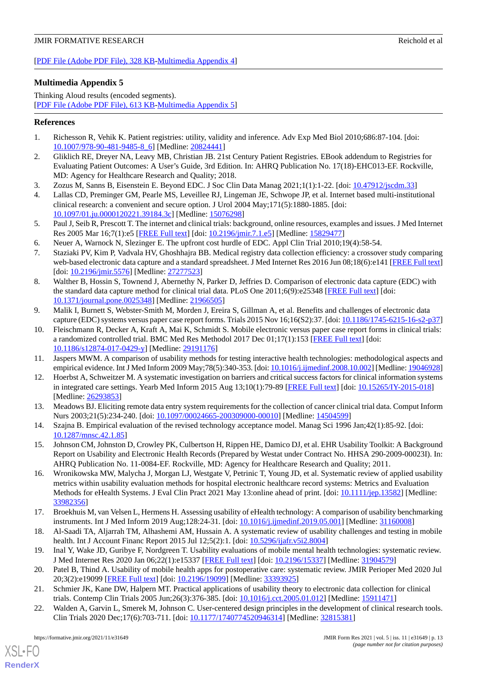[[PDF File \(Adobe PDF File\), 328 KB](https://jmir.org/api/download?alt_name=formative_v5i11e31649_app4.pdf&filename=fdaeaad0f04f545a763e92e156b15e72.pdf)-[Multimedia Appendix 4\]](https://jmir.org/api/download?alt_name=formative_v5i11e31649_app4.pdf&filename=fdaeaad0f04f545a763e92e156b15e72.pdf)

# <span id="page-12-20"></span>**Multimedia Appendix 5**

Thinking Aloud results (encoded segments). [[PDF File \(Adobe PDF File\), 613 KB](https://jmir.org/api/download?alt_name=formative_v5i11e31649_app5.pdf&filename=e0cb2c03154e4d800e6201f8f8b0d96e.pdf)-[Multimedia Appendix 5\]](https://jmir.org/api/download?alt_name=formative_v5i11e31649_app5.pdf&filename=e0cb2c03154e4d800e6201f8f8b0d96e.pdf)

# <span id="page-12-0"></span>**References**

- <span id="page-12-1"></span>1. Richesson R, Vehik K. Patient registries: utility, validity and inference. Adv Exp Med Biol 2010;686:87-104. [doi: [10.1007/978-90-481-9485-8\\_6](http://dx.doi.org/10.1007/978-90-481-9485-8_6)] [Medline: [20824441\]](http://www.ncbi.nlm.nih.gov/entrez/query.fcgi?cmd=Retrieve&db=PubMed&list_uids=20824441&dopt=Abstract)
- <span id="page-12-2"></span>2. Gliklich RE, Dreyer NA, Leavy MB, Christian JB. 21st Century Patient Registries. EBook addendum to Registries for Evaluating Patient Outcomes: A User's Guide, 3rd Edition. In: AHRQ Publication No. 17(18)-EHC013-EF. Rockville, MD: Agency for Healthcare Research and Quality; 2018.
- <span id="page-12-3"></span>3. Zozus M, Sanns B, Eisenstein E. Beyond EDC. J Soc Clin Data Manag 2021;1(1):1-22. [doi: [10.47912/jscdm.33\]](http://dx.doi.org/10.47912/jscdm.33)
- <span id="page-12-4"></span>4. Lallas CD, Preminger GM, Pearle MS, Leveillee RJ, Lingeman JE, Schwope JP, et al. Internet based multi-institutional clinical research: a convenient and secure option. J Urol 2004 May;171(5):1880-1885. [doi: [10.1097/01.ju.0000120221.39184.3c](http://dx.doi.org/10.1097/01.ju.0000120221.39184.3c)] [Medline: [15076298\]](http://www.ncbi.nlm.nih.gov/entrez/query.fcgi?cmd=Retrieve&db=PubMed&list_uids=15076298&dopt=Abstract)
- <span id="page-12-6"></span><span id="page-12-5"></span>5. Paul J, Seib R, Prescott T. The internet and clinical trials: background, online resources, examples and issues. J Med Internet Res 2005 Mar 16;7(1):e5 [\[FREE Full text\]](https://www.jmir.org/2005/1/e5/) [doi: [10.2196/jmir.7.1.e5](http://dx.doi.org/10.2196/jmir.7.1.e5)] [Medline: [15829477\]](http://www.ncbi.nlm.nih.gov/entrez/query.fcgi?cmd=Retrieve&db=PubMed&list_uids=15829477&dopt=Abstract)
- 6. Neuer A, Warnock N, Slezinger E. The upfront cost hurdle of EDC. Appl Clin Trial 2010;19(4):58-54.
- <span id="page-12-7"></span>7. Staziaki PV, Kim P, Vadvala HV, Ghoshhajra BB. Medical registry data collection efficiency: a crossover study comparing web-based electronic data capture and a standard spreadsheet. J Med Internet Res 2016 Jun 08;18(6):e141 [[FREE Full text](https://www.jmir.org/2016/6/e141/)] [doi: [10.2196/jmir.5576\]](http://dx.doi.org/10.2196/jmir.5576) [Medline: [27277523\]](http://www.ncbi.nlm.nih.gov/entrez/query.fcgi?cmd=Retrieve&db=PubMed&list_uids=27277523&dopt=Abstract)
- 8. Walther B, Hossin S, Townend J, Abernethy N, Parker D, Jeffries D. Comparison of electronic data capture (EDC) with the standard data capture method for clinical trial data. PLoS One 2011;6(9):e25348 [[FREE Full text](https://dx.plos.org/10.1371/journal.pone.0025348)] [doi: [10.1371/journal.pone.0025348\]](http://dx.doi.org/10.1371/journal.pone.0025348) [Medline: [21966505](http://www.ncbi.nlm.nih.gov/entrez/query.fcgi?cmd=Retrieve&db=PubMed&list_uids=21966505&dopt=Abstract)]
- <span id="page-12-8"></span>9. Malik I, Burnett S, Webster-Smith M, Morden J, Ereira S, Gillman A, et al. Benefits and challenges of electronic data capture (EDC) systems versus paper case report forms. Trials 2015 Nov 16;16(S2):37. [doi: [10.1186/1745-6215-16-s2-p37](http://dx.doi.org/10.1186/1745-6215-16-s2-p37)]
- <span id="page-12-10"></span><span id="page-12-9"></span>10. Fleischmann R, Decker A, Kraft A, Mai K, Schmidt S. Mobile electronic versus paper case report forms in clinical trials: a randomized controlled trial. BMC Med Res Methodol 2017 Dec 01;17(1):153 [[FREE Full text](https://bmcmedresmethodol.biomedcentral.com/articles/10.1186/s12874-017-0429-y)] [doi: [10.1186/s12874-017-0429-y\]](http://dx.doi.org/10.1186/s12874-017-0429-y) [Medline: [29191176](http://www.ncbi.nlm.nih.gov/entrez/query.fcgi?cmd=Retrieve&db=PubMed&list_uids=29191176&dopt=Abstract)]
- <span id="page-12-11"></span>11. Jaspers MWM. A comparison of usability methods for testing interactive health technologies: methodological aspects and empirical evidence. Int J Med Inform 2009 May;78(5):340-353. [doi: [10.1016/j.ijmedinf.2008.10.002\]](http://dx.doi.org/10.1016/j.ijmedinf.2008.10.002) [Medline: [19046928\]](http://www.ncbi.nlm.nih.gov/entrez/query.fcgi?cmd=Retrieve&db=PubMed&list_uids=19046928&dopt=Abstract)
- <span id="page-12-12"></span>12. Hoerbst A, Schweitzer M. A systematic investigation on barriers and critical success factors for clinical information systems in integrated care settings. Yearb Med Inform 2015 Aug 13;10(1):79-89 [[FREE Full text\]](http://www.thieme-connect.com/DOI/DOI?10.15265/IY-2015-018) [doi: [10.15265/IY-2015-018](http://dx.doi.org/10.15265/IY-2015-018)] [Medline: [26293853](http://www.ncbi.nlm.nih.gov/entrez/query.fcgi?cmd=Retrieve&db=PubMed&list_uids=26293853&dopt=Abstract)]
- <span id="page-12-13"></span>13. Meadows BJ. Eliciting remote data entry system requirements for the collection of cancer clinical trial data. Comput Inform Nurs 2003;21(5):234-240. [doi: [10.1097/00024665-200309000-00010](http://dx.doi.org/10.1097/00024665-200309000-00010)] [Medline: [14504599](http://www.ncbi.nlm.nih.gov/entrez/query.fcgi?cmd=Retrieve&db=PubMed&list_uids=14504599&dopt=Abstract)]
- <span id="page-12-14"></span>14. Szajna B. Empirical evaluation of the revised technology acceptance model. Manag Sci 1996 Jan;42(1):85-92. [doi: [10.1287/mnsc.42.1.85](http://dx.doi.org/10.1287/mnsc.42.1.85)]
- 15. Johnson CM, Johnston D, Crowley PK, Culbertson H, Rippen HE, Damico DJ, et al. EHR Usability Toolkit: A Background Report on Usability and Electronic Health Records (Prepared by Westat under Contract No. HHSA 290-2009-00023I). In: AHRQ Publication No. 11-0084-EF. Rockville, MD: Agency for Healthcare Research and Quality; 2011.
- <span id="page-12-16"></span><span id="page-12-15"></span>16. Wronikowska MW, Malycha J, Morgan LJ, Westgate V, Petrinic T, Young JD, et al. Systematic review of applied usability metrics within usability evaluation methods for hospital electronic healthcare record systems: Metrics and Evaluation Methods for eHealth Systems. J Eval Clin Pract 2021 May 13:online ahead of print. [doi: [10.1111/jep.13582](http://dx.doi.org/10.1111/jep.13582)] [Medline: [33982356](http://www.ncbi.nlm.nih.gov/entrez/query.fcgi?cmd=Retrieve&db=PubMed&list_uids=33982356&dopt=Abstract)]
- <span id="page-12-17"></span>17. Broekhuis M, van Velsen L, Hermens H. Assessing usability of eHealth technology: A comparison of usability benchmarking instruments. Int J Med Inform 2019 Aug;128:24-31. [doi: [10.1016/j.ijmedinf.2019.05.001](http://dx.doi.org/10.1016/j.ijmedinf.2019.05.001)] [Medline: [31160008](http://www.ncbi.nlm.nih.gov/entrez/query.fcgi?cmd=Retrieve&db=PubMed&list_uids=31160008&dopt=Abstract)]
- <span id="page-12-18"></span>18. Al-Saadi TA, Aljarrah TM, Alhashemi AM, Hussain A. A systematic review of usability challenges and testing in mobile health. Int J Account Financ Report 2015 Jul 12;5(2):1. [doi: [10.5296/ijafr.v5i2.8004](http://dx.doi.org/10.5296/ijafr.v5i2.8004)]
- <span id="page-12-19"></span>19. Inal Y, Wake JD, Guribye F, Nordgreen T. Usability evaluations of mobile mental health technologies: systematic review. J Med Internet Res 2020 Jan 06;22(1):e15337 [[FREE Full text](https://www.jmir.org/2020/1/e15337/)] [doi: [10.2196/15337\]](http://dx.doi.org/10.2196/15337) [Medline: [31904579](http://www.ncbi.nlm.nih.gov/entrez/query.fcgi?cmd=Retrieve&db=PubMed&list_uids=31904579&dopt=Abstract)]
- 20. Patel B, Thind A. Usability of mobile health apps for postoperative care: systematic review. JMIR Perioper Med 2020 Jul 20;3(2):e19099 [\[FREE Full text](http://europepmc.org/abstract/MED/33393925)] [doi: [10.2196/19099\]](http://dx.doi.org/10.2196/19099) [Medline: [33393925\]](http://www.ncbi.nlm.nih.gov/entrez/query.fcgi?cmd=Retrieve&db=PubMed&list_uids=33393925&dopt=Abstract)
- 21. Schmier JK, Kane DW, Halpern MT. Practical applications of usability theory to electronic data collection for clinical trials. Contemp Clin Trials 2005 Jun;26(3):376-385. [doi: [10.1016/j.cct.2005.01.012\]](http://dx.doi.org/10.1016/j.cct.2005.01.012) [Medline: [15911471\]](http://www.ncbi.nlm.nih.gov/entrez/query.fcgi?cmd=Retrieve&db=PubMed&list_uids=15911471&dopt=Abstract)
- 22. Walden A, Garvin L, Smerek M, Johnson C. User-centered design principles in the development of clinical research tools. Clin Trials 2020 Dec;17(6):703-711. [doi: [10.1177/1740774520946314](http://dx.doi.org/10.1177/1740774520946314)] [Medline: [32815381](http://www.ncbi.nlm.nih.gov/entrez/query.fcgi?cmd=Retrieve&db=PubMed&list_uids=32815381&dopt=Abstract)]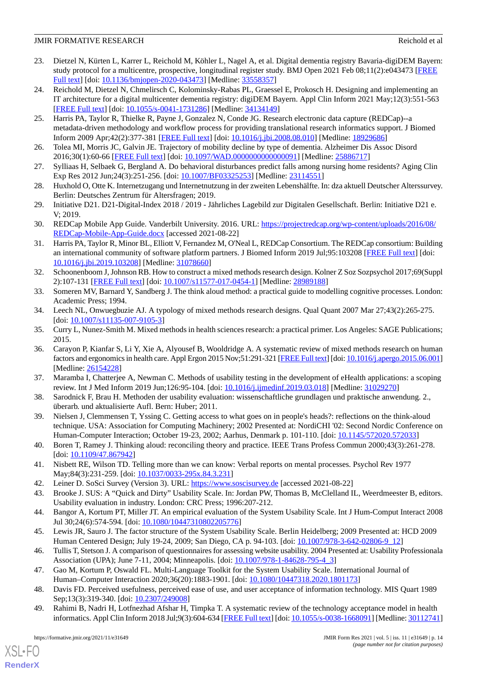- <span id="page-13-0"></span>23. Dietzel N, Kürten L, Karrer L, Reichold M, Köhler L, Nagel A, et al. Digital dementia registry Bavaria-digiDEM Bayern: study protocol for a multicentre, prospective, longitudinal register study. BMJ Open 2021 Feb 08;11(2):e043473 [[FREE](https://bmjopen.bmj.com/lookup/pmidlookup?view=long&pmid=33558357) [Full text\]](https://bmjopen.bmj.com/lookup/pmidlookup?view=long&pmid=33558357) [doi: [10.1136/bmjopen-2020-043473](http://dx.doi.org/10.1136/bmjopen-2020-043473)] [Medline: [33558357\]](http://www.ncbi.nlm.nih.gov/entrez/query.fcgi?cmd=Retrieve&db=PubMed&list_uids=33558357&dopt=Abstract)
- <span id="page-13-1"></span>24. Reichold M, Dietzel N, Chmelirsch C, Kolominsky-Rabas PL, Graessel E, Prokosch H. Designing and implementing an IT architecture for a digital multicenter dementia registry: digiDEM Bayern. Appl Clin Inform 2021 May;12(3):551-563 [[FREE Full text](http://europepmc.org/abstract/MED/34134149)] [doi: [10.1055/s-0041-1731286](http://dx.doi.org/10.1055/s-0041-1731286)] [Medline: [34134149](http://www.ncbi.nlm.nih.gov/entrez/query.fcgi?cmd=Retrieve&db=PubMed&list_uids=34134149&dopt=Abstract)]
- <span id="page-13-2"></span>25. Harris PA, Taylor R, Thielke R, Payne J, Gonzalez N, Conde JG. Research electronic data capture (REDCap)--a metadata-driven methodology and workflow process for providing translational research informatics support. J Biomed Inform 2009 Apr;42(2):377-381 [\[FREE Full text\]](https://linkinghub.elsevier.com/retrieve/pii/S1532-0464(08)00122-6) [doi: [10.1016/j.jbi.2008.08.010](http://dx.doi.org/10.1016/j.jbi.2008.08.010)] [Medline: [18929686](http://www.ncbi.nlm.nih.gov/entrez/query.fcgi?cmd=Retrieve&db=PubMed&list_uids=18929686&dopt=Abstract)]
- <span id="page-13-4"></span><span id="page-13-3"></span>26. Tolea MI, Morris JC, Galvin JE. Trajectory of mobility decline by type of dementia. Alzheimer Dis Assoc Disord 2016;30(1):60-66 [[FREE Full text](http://europepmc.org/abstract/MED/25886717)] [doi: [10.1097/WAD.0000000000000091](http://dx.doi.org/10.1097/WAD.0000000000000091)] [Medline: [25886717\]](http://www.ncbi.nlm.nih.gov/entrez/query.fcgi?cmd=Retrieve&db=PubMed&list_uids=25886717&dopt=Abstract)
- <span id="page-13-5"></span>27. Sylliaas H, Selbaek G, Bergland A. Do behavioral disturbances predict falls among nursing home residents? Aging Clin Exp Res 2012 Jun;24(3):251-256. [doi: [10.1007/BF03325253\]](http://dx.doi.org/10.1007/BF03325253) [Medline: [23114551](http://www.ncbi.nlm.nih.gov/entrez/query.fcgi?cmd=Retrieve&db=PubMed&list_uids=23114551&dopt=Abstract)]
- <span id="page-13-6"></span>28. Huxhold O, Otte K. Internetzugang und Internetnutzung in der zweiten Lebenshälfte. In: dza aktuell Deutscher Alterssurvey. Berlin: Deutsches Zentrum für Altersfragen; 2019.
- <span id="page-13-7"></span>29. Initiative D21. D21-Digital-Index 2018 / 2019 - Jährliches Lagebild zur Digitalen Gesellschaft. Berlin: Initiative D21 e. V; 2019.
- <span id="page-13-8"></span>30. REDCap Mobile App Guide. Vanderbilt University. 2016. URL: [https://projectredcap.org/wp-content/uploads/2016/08/](https://projectredcap.org/wp-content/uploads/2016/08/REDCap-Mobile-App-Guide.docx) [REDCap-Mobile-App-Guide.docx](https://projectredcap.org/wp-content/uploads/2016/08/REDCap-Mobile-App-Guide.docx) [accessed 2021-08-22]
- <span id="page-13-9"></span>31. Harris PA, Taylor R, Minor BL, Elliott V, Fernandez M, O'Neal L, REDCap Consortium. The REDCap consortium: Building an international community of software platform partners. J Biomed Inform 2019 Jul;95:103208 [[FREE Full text](https://linkinghub.elsevier.com/retrieve/pii/S1532-0464(19)30126-1)] [doi: [10.1016/j.jbi.2019.103208\]](http://dx.doi.org/10.1016/j.jbi.2019.103208) [Medline: [31078660](http://www.ncbi.nlm.nih.gov/entrez/query.fcgi?cmd=Retrieve&db=PubMed&list_uids=31078660&dopt=Abstract)]
- <span id="page-13-11"></span><span id="page-13-10"></span>32. Schoonenboom J, Johnson RB. How to construct a mixed methods research design. Kolner Z Soz Sozpsychol 2017;69(Suppl 2):107-131 [[FREE Full text](http://europepmc.org/abstract/MED/28989188)] [doi: [10.1007/s11577-017-0454-1\]](http://dx.doi.org/10.1007/s11577-017-0454-1) [Medline: [28989188](http://www.ncbi.nlm.nih.gov/entrez/query.fcgi?cmd=Retrieve&db=PubMed&list_uids=28989188&dopt=Abstract)]
- <span id="page-13-12"></span>33. Someren MV, Barnard Y, Sandberg J. The think aloud method: a practical guide to modelling cognitive processes. London: Academic Press; 1994.
- <span id="page-13-13"></span>34. Leech NL, Onwuegbuzie AJ. A typology of mixed methods research designs. Qual Quant 2007 Mar 27;43(2):265-275. [doi: [10.1007/s11135-007-9105-3](http://dx.doi.org/10.1007/s11135-007-9105-3)]
- 35. Curry L, Nunez-Smith M. Mixed methods in health sciences research: a practical primer. Los Angeles: SAGE Publications; 2015.
- <span id="page-13-15"></span><span id="page-13-14"></span>36. Carayon P, Kianfar S, Li Y, Xie A, Alyousef B, Wooldridge A. A systematic review of mixed methods research on human factors and ergonomics in health care. Appl Ergon 2015 Nov;51:291-321 [\[FREE Full text\]](http://europepmc.org/abstract/MED/26154228) [doi: [10.1016/j.apergo.2015.06.001](http://dx.doi.org/10.1016/j.apergo.2015.06.001)] [Medline: [26154228](http://www.ncbi.nlm.nih.gov/entrez/query.fcgi?cmd=Retrieve&db=PubMed&list_uids=26154228&dopt=Abstract)]
- <span id="page-13-16"></span>37. Maramba I, Chatterjee A, Newman C. Methods of usability testing in the development of eHealth applications: a scoping review. Int J Med Inform 2019 Jun;126:95-104. [doi: [10.1016/j.ijmedinf.2019.03.018](http://dx.doi.org/10.1016/j.ijmedinf.2019.03.018)] [Medline: [31029270](http://www.ncbi.nlm.nih.gov/entrez/query.fcgi?cmd=Retrieve&db=PubMed&list_uids=31029270&dopt=Abstract)]
- <span id="page-13-17"></span>38. Sarodnick F, Brau H. Methoden der usability evaluation: wissenschaftliche grundlagen und praktische anwendung. 2., überarb. und aktualisierte Aufl. Bern: Huber; 2011.
- <span id="page-13-18"></span>39. Nielsen J, Clemmensen T, Yssing C. Getting access to what goes on in people's heads?: reflections on the think-aloud technique. USA: Association for Computing Machinery; 2002 Presented at: NordiCHI '02: Second Nordic Conference on Human-Computer Interaction; October 19-23, 2002; Aarhus, Denmark p. 101-110. [doi: [10.1145/572020.572033\]](http://dx.doi.org/10.1145/572020.572033)
- <span id="page-13-20"></span><span id="page-13-19"></span>40. Boren T, Ramey J. Thinking aloud: reconciling theory and practice. IEEE Trans Profess Commun 2000;43(3):261-278. [doi: [10.1109/47.867942\]](http://dx.doi.org/10.1109/47.867942)
- <span id="page-13-21"></span>41. Nisbett RE, Wilson TD. Telling more than we can know: Verbal reports on mental processes. Psychol Rev 1977 May;84(3):231-259. [doi: [10.1037/0033-295x.84.3.231\]](http://dx.doi.org/10.1037/0033-295x.84.3.231)
- <span id="page-13-22"></span>42. Leiner D. SoSci Survey (Version 3). URL: <https://www.soscisurvey.de> [accessed 2021-08-22]
- <span id="page-13-23"></span>43. Brooke J. SUS: A "Quick and Dirty" Usability Scale. In: Jordan PW, Thomas B, McClelland IL, Weerdmeester B, editors. Usability evaluation in industry. London: CRC Press; 1996:207-212.
- <span id="page-13-24"></span>44. Bangor A, Kortum PT, Miller JT. An empirical evaluation of the System Usability Scale. Int J Hum-Comput Interact 2008 Jul 30;24(6):574-594. [doi: [10.1080/10447310802205776\]](http://dx.doi.org/10.1080/10447310802205776)
- <span id="page-13-25"></span>45. Lewis JR, Sauro J. The factor structure of the System Usability Scale. Berlin Heidelberg; 2009 Presented at: HCD 2009 Human Centered Design; July 19-24, 2009; San Diego, CA p. 94-103. [doi: [10.1007/978-3-642-02806-9\\_12\]](http://dx.doi.org/10.1007/978-3-642-02806-9_12)
- <span id="page-13-26"></span>46. Tullis T, Stetson J. A comparison of questionnaires for assessing website usability. 2004 Presented at: Usability Professionala Association (UPA); June 7-11, 2004; Minneapolis. [doi: [10.1007/978-1-84628-795-4\\_3\]](http://dx.doi.org/10.1007/978-1-84628-795-4_3)
- 47. Gao M, Kortum P, Oswald FL. Multi-Language Toolkit for the System Usability Scale. International Journal of Human–Computer Interaction 2020;36(20):1883-1901. [doi: [10.1080/10447318.2020.1801173](http://dx.doi.org/10.1080/10447318.2020.1801173)]
- 48. Davis FD. Perceived usefulness, perceived ease of use, and user acceptance of information technology. MIS Quart 1989 Sep;13(3):319-340. [doi: [10.2307/249008\]](http://dx.doi.org/10.2307/249008)
- 49. Rahimi B, Nadri H, Lotfnezhad Afshar H, Timpka T. A systematic review of the technology acceptance model in health informatics. Appl Clin Inform 2018 Jul;9(3):604-634 [[FREE Full text](http://europepmc.org/abstract/MED/30112741)] [doi: [10.1055/s-0038-1668091\]](http://dx.doi.org/10.1055/s-0038-1668091) [Medline: [30112741\]](http://www.ncbi.nlm.nih.gov/entrez/query.fcgi?cmd=Retrieve&db=PubMed&list_uids=30112741&dopt=Abstract)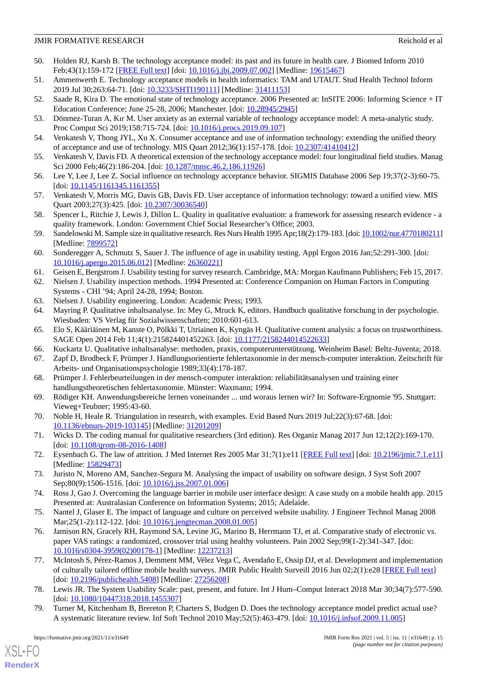- <span id="page-14-0"></span>50. Holden RJ, Karsh B. The technology acceptance model: its past and its future in health care. J Biomed Inform 2010 Feb;43(1):159-172 [[FREE Full text](https://linkinghub.elsevier.com/retrieve/pii/S1532-0464(09)00096-3)] [doi: [10.1016/j.jbi.2009.07.002](http://dx.doi.org/10.1016/j.jbi.2009.07.002)] [Medline: [19615467\]](http://www.ncbi.nlm.nih.gov/entrez/query.fcgi?cmd=Retrieve&db=PubMed&list_uids=19615467&dopt=Abstract)
- <span id="page-14-2"></span><span id="page-14-1"></span>51. Ammenwerth E. Technology acceptance models in health informatics: TAM and UTAUT. Stud Health Technol Inform 2019 Jul 30;263:64-71. [doi: [10.3233/SHTI190111\]](http://dx.doi.org/10.3233/SHTI190111) [Medline: [31411153\]](http://www.ncbi.nlm.nih.gov/entrez/query.fcgi?cmd=Retrieve&db=PubMed&list_uids=31411153&dopt=Abstract)
- <span id="page-14-3"></span>52. Saade R, Kira D. The emotional state of technology acceptance. 2006 Presented at: InSITE 2006: Informing Science + IT Education Conference; June 25-28, 2006; Manchester. [doi: [10.28945/2945](http://dx.doi.org/10.28945/2945)]
- <span id="page-14-4"></span>53. Dönmez-Turan A, Kır M. User anxiety as an external variable of technology acceptance model: A meta-analytic study. Proc Comput Sci 2019;158:715-724. [doi: [10.1016/j.procs.2019.09.107](http://dx.doi.org/10.1016/j.procs.2019.09.107)]
- <span id="page-14-5"></span>54. Venkatesh V, Thong JYL, Xu X. Consumer acceptance and use of information technology: extending the unified theory of acceptance and use of technology. MIS Quart 2012;36(1):157-178. [doi: [10.2307/41410412\]](http://dx.doi.org/10.2307/41410412)
- <span id="page-14-6"></span>55. Venkatesh V, Davis FD. A theoretical extension of the technology acceptance model: four longitudinal field studies. Manag Sci 2000 Feb;46(2):186-204. [doi: [10.1287/mnsc.46.2.186.11926\]](http://dx.doi.org/10.1287/mnsc.46.2.186.11926)
- <span id="page-14-7"></span>56. Lee Y, Lee J, Lee Z. Social influence on technology acceptance behavior. SIGMIS Database 2006 Sep 19;37(2-3):60-75. [doi: [10.1145/1161345.1161355\]](http://dx.doi.org/10.1145/1161345.1161355)
- <span id="page-14-8"></span>57. Venkatesh V, Morris MG, Davis GB, Davis FD. User acceptance of information technology: toward a unified view. MIS Quart 2003;27(3):425. [doi: [10.2307/30036540\]](http://dx.doi.org/10.2307/30036540)
- <span id="page-14-9"></span>58. Spencer L, Ritchie J, Lewis J, Dillon L. Quality in qualitative evaluation: a framework for assessing research evidence - a quality framework. London: Government Chief Social Researcher's Office; 2003.
- <span id="page-14-10"></span>59. Sandelowski M. Sample size in qualitative research. Res Nurs Health 1995 Apr;18(2):179-183. [doi: [10.1002/nur.4770180211](http://dx.doi.org/10.1002/nur.4770180211)] [Medline: [7899572\]](http://www.ncbi.nlm.nih.gov/entrez/query.fcgi?cmd=Retrieve&db=PubMed&list_uids=7899572&dopt=Abstract)
- <span id="page-14-12"></span><span id="page-14-11"></span>60. Sonderegger A, Schmutz S, Sauer J. The influence of age in usability testing. Appl Ergon 2016 Jan;52:291-300. [doi: [10.1016/j.apergo.2015.06.012\]](http://dx.doi.org/10.1016/j.apergo.2015.06.012) [Medline: [26360221](http://www.ncbi.nlm.nih.gov/entrez/query.fcgi?cmd=Retrieve&db=PubMed&list_uids=26360221&dopt=Abstract)]
- <span id="page-14-13"></span>61. Geisen E, Bergstrom J. Usability testing for survey research. Cambridge, MA: Morgan Kaufmann Publishers; Feb 15, 2017.
- <span id="page-14-14"></span>62. Nielsen J. Usability inspection methods. 1994 Presented at: Conference Companion on Human Factors in Computing Systems - CHI '94; April 24-28, 1994; Boston.
- <span id="page-14-15"></span>63. Nielsen J. Usability engineering. London: Academic Press; 1993.
- <span id="page-14-16"></span>64. Mayring P. Qualitative inhaltsanalyse. In: Mey G, Mruck K, editors. Handbuch qualitative forschung in der psychologie. Wiesbaden: VS Verlag für Sozialwissenschaften; 2010:601-613.
- <span id="page-14-17"></span>65. Elo S, Kääriäinen M, Kanste O, Pölkki T, Utriainen K, Kyngäs H. Qualitative content analysis: a focus on trustworthiness. SAGE Open 2014 Feb 11;4(1):215824401452263. [doi: [10.1177/2158244014522633\]](http://dx.doi.org/10.1177/2158244014522633)
- <span id="page-14-18"></span>66. Kuckartz U. Qualitative inhaltsanalyse: methoden, praxis, computerunterstützung. Weinheim Basel: Beltz-Juventa; 2018.
- <span id="page-14-19"></span>67. Zapf D, Brodbeck F, Prümper J. Handlungsorientierte fehlertaxonomie in der mensch-computer interaktion. Zeitschrift für Arbeits- und Organisationspsychologie 1989;33(4):178-187.
- <span id="page-14-20"></span>68. Prümper J. Fehlerbeurteilungen in der mensch-computer interaktion: reliabilitätsanalysen und training einer handlungstheoretischen fehlertaxonomie. Münster: Waxmann; 1994.
- <span id="page-14-21"></span>69. Rödiger KH. Anwendungsbereiche lernen voneinander ... und woraus lernen wir? In: Software-Ergnomie '95. Stuttgart: Vieweg+Teubner; 1995:43-60.
- <span id="page-14-22"></span>70. Noble H, Heale R. Triangulation in research, with examples. Evid Based Nurs 2019 Jul;22(3):67-68. [doi: [10.1136/ebnurs-2019-103145](http://dx.doi.org/10.1136/ebnurs-2019-103145)] [Medline: [31201209\]](http://www.ncbi.nlm.nih.gov/entrez/query.fcgi?cmd=Retrieve&db=PubMed&list_uids=31201209&dopt=Abstract)
- <span id="page-14-24"></span><span id="page-14-23"></span>71. Wicks D. The coding manual for qualitative researchers (3rd edition). Res Organiz Manag 2017 Jun 12;12(2):169-170. [doi: [10.1108/qrom-08-2016-1408](http://dx.doi.org/10.1108/qrom-08-2016-1408)]
- <span id="page-14-25"></span>72. Eysenbach G. The law of attrition. J Med Internet Res 2005 Mar 31;7(1):e11 [[FREE Full text\]](https://www.jmir.org/2005/1/e11/) [doi: [10.2196/jmir.7.1.e11](http://dx.doi.org/10.2196/jmir.7.1.e11)] [Medline: [15829473](http://www.ncbi.nlm.nih.gov/entrez/query.fcgi?cmd=Retrieve&db=PubMed&list_uids=15829473&dopt=Abstract)]
- <span id="page-14-26"></span>73. Juristo N, Moreno AM, Sanchez-Segura M. Analysing the impact of usability on software design. J Syst Soft 2007 Sep;80(9):1506-1516. [doi: [10.1016/j.jss.2007.01.006](http://dx.doi.org/10.1016/j.jss.2007.01.006)]
- 74. Ross J, Gao J. Overcoming the language barrier in mobile user interface design: A case study on a mobile health app. 2015 Presented at: Australasian Conference on Information Systems; 2015; Adelaide.
- <span id="page-14-27"></span>75. Nantel J, Glaser E. The impact of language and culture on perceived website usability. J Engineer Technol Manag 2008 Mar; 25(1-2): 112-122. [doi: 10.1016/j.jengtecman. 2008.01.005]
- <span id="page-14-28"></span>76. Jamison RN, Gracely RH, Raymond SA, Levine JG, Marino B, Herrmann TJ, et al. Comparative study of electronic vs. paper VAS ratings: a randomized, crossover trial using healthy volunteers. Pain 2002 Sep;99(1-2):341-347. [doi: [10.1016/s0304-3959\(02\)00178-1](http://dx.doi.org/10.1016/s0304-3959(02)00178-1)] [Medline: [12237213\]](http://www.ncbi.nlm.nih.gov/entrez/query.fcgi?cmd=Retrieve&db=PubMed&list_uids=12237213&dopt=Abstract)
- <span id="page-14-29"></span>77. McIntosh S, Pérez-Ramos J, Demment MM, Vélez Vega C, Avendaño E, Ossip DJ, et al. Development and implementation of culturally tailored offline mobile health surveys. JMIR Public Health Surveill 2016 Jun 02;2(1):e28 [\[FREE Full text\]](https://publichealth.jmir.org/2016/1/e28/) [doi: [10.2196/publichealth.5408](http://dx.doi.org/10.2196/publichealth.5408)] [Medline: [27256208\]](http://www.ncbi.nlm.nih.gov/entrez/query.fcgi?cmd=Retrieve&db=PubMed&list_uids=27256208&dopt=Abstract)
- 78. Lewis JR. The System Usability Scale: past, present, and future. Int J Hum–Comput Interact 2018 Mar 30;34(7):577-590. [doi: [10.1080/10447318.2018.1455307](http://dx.doi.org/10.1080/10447318.2018.1455307)]
- 79. Turner M, Kitchenham B, Brereton P, Charters S, Budgen D. Does the technology acceptance model predict actual use? A systematic literature review. Inf Soft Technol 2010 May;52(5):463-479. [doi: [10.1016/j.infsof.2009.11.005\]](http://dx.doi.org/10.1016/j.infsof.2009.11.005)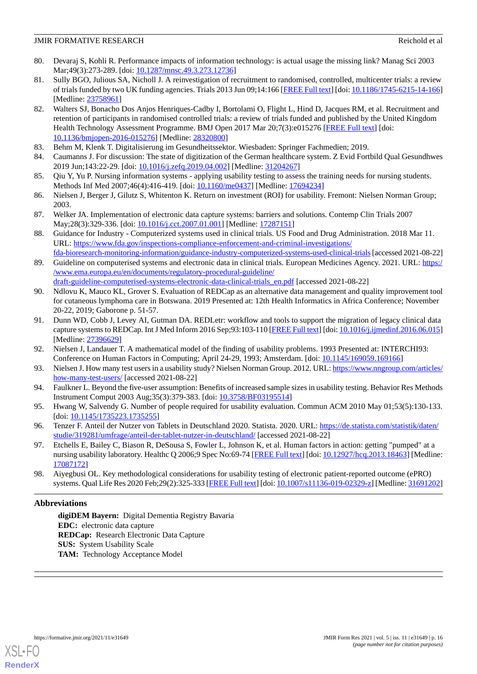- <span id="page-15-0"></span>80. Devaraj S, Kohli R. Performance impacts of information technology: is actual usage the missing link? Manag Sci 2003 Mar;49(3):273-289. [doi: [10.1287/mnsc.49.3.273.12736\]](http://dx.doi.org/10.1287/mnsc.49.3.273.12736)
- <span id="page-15-1"></span>81. Sully BGO, Julious SA, Nicholl J. A reinvestigation of recruitment to randomised, controlled, multicenter trials: a review of trials funded by two UK funding agencies. Trials 2013 Jun 09;14:166 [[FREE Full text](https://trialsjournal.biomedcentral.com/articles/10.1186/1745-6215-14-166)] [doi: [10.1186/1745-6215-14-166](http://dx.doi.org/10.1186/1745-6215-14-166)] [Medline: [23758961](http://www.ncbi.nlm.nih.gov/entrez/query.fcgi?cmd=Retrieve&db=PubMed&list_uids=23758961&dopt=Abstract)]
- <span id="page-15-2"></span>82. Walters SJ, Bonacho Dos Anjos Henriques-Cadby I, Bortolami O, Flight L, Hind D, Jacques RM, et al. Recruitment and retention of participants in randomised controlled trials: a review of trials funded and published by the United Kingdom Health Technology Assessment Programme. BMJ Open 2017 Mar 20;7(3):e015276 [[FREE Full text](https://bmjopen.bmj.com/lookup/pmidlookup?view=long&pmid=28320800)] [doi: [10.1136/bmjopen-2016-015276\]](http://dx.doi.org/10.1136/bmjopen-2016-015276) [Medline: [28320800](http://www.ncbi.nlm.nih.gov/entrez/query.fcgi?cmd=Retrieve&db=PubMed&list_uids=28320800&dopt=Abstract)]
- <span id="page-15-4"></span><span id="page-15-3"></span>83. Behm M, Klenk T. Digitalisierung im Gesundheitssektor. Wiesbaden: Springer Fachmedien; 2019.
- <span id="page-15-5"></span>84. Caumanns J. For discussion: The state of digitization of the German healthcare system. Z Evid Fortbild Qual Gesundhwes 2019 Jun;143:22-29. [doi: [10.1016/j.zefq.2019.04.002\]](http://dx.doi.org/10.1016/j.zefq.2019.04.002) [Medline: [31204267](http://www.ncbi.nlm.nih.gov/entrez/query.fcgi?cmd=Retrieve&db=PubMed&list_uids=31204267&dopt=Abstract)]
- <span id="page-15-6"></span>85. Qiu Y, Yu P. Nursing information systems - applying usability testing to assess the training needs for nursing students. Methods Inf Med 2007;46(4):416-419. [doi: [10.1160/me0437\]](http://dx.doi.org/10.1160/me0437) [Medline: [17694234](http://www.ncbi.nlm.nih.gov/entrez/query.fcgi?cmd=Retrieve&db=PubMed&list_uids=17694234&dopt=Abstract)]
- <span id="page-15-7"></span>86. Nielsen J, Berger J, Gilutz S, Whitenton K. Return on investment (ROI) for usability. Fremont: Nielsen Norman Group; 2003.
- <span id="page-15-8"></span>87. Welker JA. Implementation of electronic data capture systems: barriers and solutions. Contemp Clin Trials 2007 May;28(3):329-336. [doi: [10.1016/j.cct.2007.01.001](http://dx.doi.org/10.1016/j.cct.2007.01.001)] [Medline: [17287151](http://www.ncbi.nlm.nih.gov/entrez/query.fcgi?cmd=Retrieve&db=PubMed&list_uids=17287151&dopt=Abstract)]
- <span id="page-15-9"></span>88. Guidance for Industry - Computerized systems used in clinical trials. US Food and Drug Administration. 2018 Mar 11. URL: [https://www.fda.gov/inspections-compliance-enforcement-and-criminal-investigations/](https://www.fda.gov/inspections-compliance-enforcement-and-criminal-investigations/fda-bioresearch-monitoring-information/guidance-industry-computerized-systems-used-clinical-trials)
- <span id="page-15-10"></span>[fda-bioresearch-monitoring-information/guidance-industry-computerized-systems-used-clinical-trials](https://www.fda.gov/inspections-compliance-enforcement-and-criminal-investigations/fda-bioresearch-monitoring-information/guidance-industry-computerized-systems-used-clinical-trials)[accessed 2021-08-22] 89. Guideline on computerised systems and electronic data in clinical trials. European Medicines Agency. 2021. URL: [https:/](https://www.ema.europa.eu/en/documents/regulatory-procedural-guideline/draft-guideline-computerised-systems-electronic-data-clinical-trials_en.pdf) [/www.ema.europa.eu/en/documents/regulatory-procedural-guideline/](https://www.ema.europa.eu/en/documents/regulatory-procedural-guideline/draft-guideline-computerised-systems-electronic-data-clinical-trials_en.pdf) [draft-guideline-computerised-systems-electronic-data-clinical-trials\\_en.pdf](https://www.ema.europa.eu/en/documents/regulatory-procedural-guideline/draft-guideline-computerised-systems-electronic-data-clinical-trials_en.pdf) [accessed 2021-08-22]
- <span id="page-15-11"></span>90. Ndlovu K, Mauco KL, Grover S. Evaluation of REDCap as an alternative data management and quality improvement tool for cutaneous lymphoma care in Botswana. 2019 Presented at: 12th Health Informatics in Africa Conference; November 20-22, 2019; Gaborone p. 51-57.
- <span id="page-15-13"></span><span id="page-15-12"></span>91. Dunn WD, Cobb J, Levey AI, Gutman DA. REDLetr: workflow and tools to support the migration of legacy clinical data capture systems to REDCap. Int J Med Inform 2016 Sep;93:103-110 [\[FREE Full text](http://europepmc.org/abstract/MED/27396629)] [doi: [10.1016/j.ijmedinf.2016.06.015\]](http://dx.doi.org/10.1016/j.ijmedinf.2016.06.015) [Medline: [27396629](http://www.ncbi.nlm.nih.gov/entrez/query.fcgi?cmd=Retrieve&db=PubMed&list_uids=27396629&dopt=Abstract)]
- <span id="page-15-14"></span>92. Nielsen J, Landauer T. A mathematical model of the finding of usability problems. 1993 Presented at: INTERCHI93: Conference on Human Factors in Computing; April 24-29, 1993; Amsterdam. [doi: [10.1145/169059.169166\]](http://dx.doi.org/10.1145/169059.169166)
- <span id="page-15-15"></span>93. Nielsen J. How many test users in a usability study? Nielsen Norman Group. 2012. URL: [https://www.nngroup.com/articles/](https://www.nngroup.com/articles/how-many-test-users/) [how-many-test-users/](https://www.nngroup.com/articles/how-many-test-users/) [accessed 2021-08-22]
- <span id="page-15-16"></span>94. Faulkner L. Beyond the five-user assumption: Benefits of increased sample sizes in usability testing. Behavior Res Methods Instrument Comput 2003 Aug;35(3):379-383. [doi: [10.3758/BF03195514](http://dx.doi.org/10.3758/BF03195514)]
- <span id="page-15-17"></span>95. Hwang W, Salvendy G. Number of people required for usability evaluation. Commun ACM 2010 May 01;53(5):130-133. [doi: [10.1145/1735223.1735255\]](http://dx.doi.org/10.1145/1735223.1735255)
- <span id="page-15-18"></span>96. Tenzer F. Anteil der Nutzer von Tablets in Deutschland 2020. Statista. 2020. URL: [https://de.statista.com/statistik/daten/](https://de.statista.com/statistik/daten/studie/319281/umfrage/anteil-der-tablet-nutzer-in-deutschland/) [studie/319281/umfrage/anteil-der-tablet-nutzer-in-deutschland/](https://de.statista.com/statistik/daten/studie/319281/umfrage/anteil-der-tablet-nutzer-in-deutschland/) [accessed 2021-08-22]
- 97. Etchells E, Bailey C, Biason R, DeSousa S, Fowler L, Johnson K, et al. Human factors in action: getting "pumped" at a nursing usability laboratory. Healthc Q 2006;9 Spec No:69-74 [\[FREE Full text\]](http://www.longwoods.com/product.php?productid=18463) [doi: [10.12927/hcq.2013.18463\]](http://dx.doi.org/10.12927/hcq.2013.18463) [Medline: [17087172](http://www.ncbi.nlm.nih.gov/entrez/query.fcgi?cmd=Retrieve&db=PubMed&list_uids=17087172&dopt=Abstract)]
- 98. Aiyegbusi OL. Key methodological considerations for usability testing of electronic patient-reported outcome (ePRO) systems. Qual Life Res 2020 Feb;29(2):325-333 [[FREE Full text\]](http://europepmc.org/abstract/MED/31691202) [doi: [10.1007/s11136-019-02329-z](http://dx.doi.org/10.1007/s11136-019-02329-z)] [Medline: [31691202](http://www.ncbi.nlm.nih.gov/entrez/query.fcgi?cmd=Retrieve&db=PubMed&list_uids=31691202&dopt=Abstract)]

# **Abbreviations**

**digiDEM Bayern:** Digital Dementia Registry Bavaria **EDC:** electronic data capture **REDCap:** Research Electronic Data Capture **SUS:** System Usability Scale **TAM:** Technology Acceptance Model